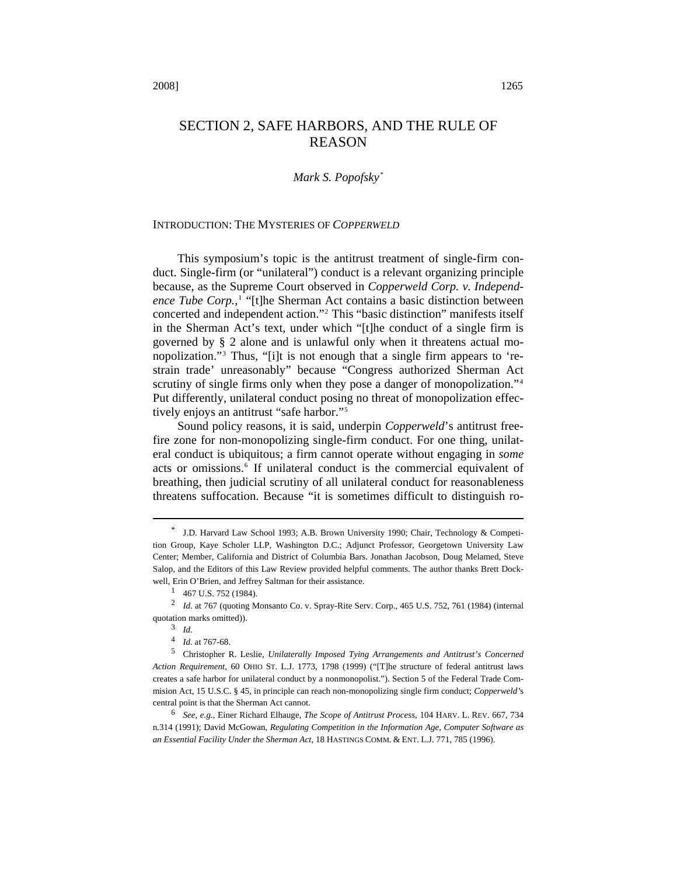# SECTION 2, SAFE HARBORS, AND THE RULE OF REASON

# *Mark S. Popofsky[\\*](#page-0-0)*

#### INTRODUCTION: THE MYSTERIES OF *COPPERWELD*

This symposium's topic is the antitrust treatment of single-firm conduct. Single-firm (or "unilateral") conduct is a relevant organizing principle because, as the Supreme Court observed in *Copperweld Corp. v. Independ-*ence Tube Corp.,<sup>[1](#page-0-1)</sup> "[t]he Sherman Act contains a basic distinction between concerted and independent action."[2](#page-0-2) This "basic distinction" manifests itself in the Sherman Act's text, under which "[t]he conduct of a single firm is governed by § 2 alone and is unlawful only when it threatens actual monopolization."[3](#page-0-3) Thus, "[i]t is not enough that a single firm appears to 'restrain trade' unreasonably" because "Congress authorized Sherman Act scrutiny of single firms only when they pose a danger of monopolization."<sup>[4](#page-0-4)</sup> Put differently, unilateral conduct posing no threat of monopolization effectively enjoys an antitrust "safe harbor."[5](#page-0-5)

Sound policy reasons, it is said, underpin *Copperweld*'s antitrust freefire zone for non-monopolizing single-firm conduct. For one thing, unilateral conduct is ubiquitous; a firm cannot operate without engaging in *some* acts or omissions.<sup>[6](#page-0-6)</sup> If unilateral conduct is the commercial equivalent of breathing, then judicial scrutiny of all unilateral conduct for reasonableness threatens suffocation. Because "it is sometimes difficult to distinguish ro-

<span id="page-0-0"></span><sup>\*</sup> J.D. Harvard Law School 1993; A.B. Brown University 1990; Chair, Technology & Competition Group, Kaye Scholer LLP, Washington D.C.; Adjunct Professor, Georgetown University Law Center; Member, California and District of Columbia Bars. Jonathan Jacobson, Doug Melamed, Steve Salop, and the Editors of this Law Review provided helpful comments. The author thanks Brett Dockwell, Erin O'Brien, and Jeffrey Saltman for their assistance.

 $1$  467 U.S. 752 (1984).

<span id="page-0-3"></span><span id="page-0-2"></span><span id="page-0-1"></span><sup>2</sup> *Id.* at 767 (quoting Monsanto Co. v. Spray-Rite Serv. Corp., 465 U.S. 752, 761 (1984) (internal quotation marks omitted)).

<sup>3</sup> *Id.* 

<sup>4</sup> *Id.* at 767-68.

<span id="page-0-5"></span><span id="page-0-4"></span><sup>5</sup> Christopher R. Leslie, *Unilaterally Imposed Tying Arrangements and Antitrust's Concerned Action Requirement,* 60 OHIO ST. L.J. 1773, 1798 (1999) ("[T]he structure of federal antitrust laws creates a safe harbor for unilateral conduct by a nonmonopolist."). Section 5 of the Federal Trade Commision Act, 15 U.S.C. § 45, in principle can reach non-monopolizing single firm conduct; *Copperweld'*s central point is that the Sherman Act cannot.

<span id="page-0-6"></span><sup>6</sup> *See, e.g.*, Einer Richard Elhauge, *The Scope of Antitrust Process*, 104 HARV. L. REV. 667, 734 n.314 (1991); David McGowan, *Regulating Competition in the Information Age, Computer Software as an Essential Facility Under the Sherman Act*, 18 HASTINGS COMM. & ENT. L.J. 771, 785 (1996).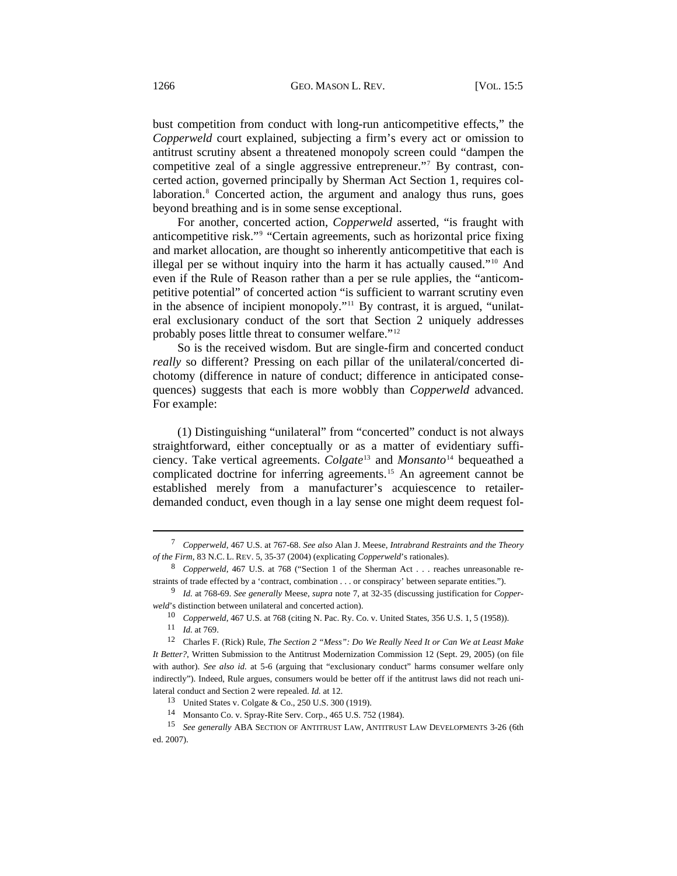bust competition from conduct with long-run anticompetitive effects," the *Copperweld* court explained, subjecting a firm's every act or omission to antitrust scrutiny absent a threatened monopoly screen could "dampen the competitive zeal of a single aggressive entrepreneur."[7](#page-1-0) By contrast, concerted action, governed principally by Sherman Act Section 1, requires col-laboration.<sup>[8](#page-1-1)</sup> Concerted action, the argument and analogy thus runs, goes beyond breathing and is in some sense exceptional.

For another, concerted action, *Copperweld* asserted, "is fraught with anticompetitive risk."[9](#page-1-2) "Certain agreements, such as horizontal price fixing and market allocation, are thought so inherently anticompetitive that each is illegal per se without inquiry into the harm it has actually caused."[10](#page-1-3) And even if the Rule of Reason rather than a per se rule applies, the "anticompetitive potential" of concerted action "is sufficient to warrant scrutiny even in the absence of incipient monopoly."[11](#page-1-4) By contrast, it is argued, "unilateral exclusionary conduct of the sort that Section 2 uniquely addresses probably poses little threat to consumer welfare."[12](#page-1-5)

So is the received wisdom. But are single-firm and concerted conduct *really* so different? Pressing on each pillar of the unilateral/concerted dichotomy (difference in nature of conduct; difference in anticipated consequences) suggests that each is more wobbly than *Copperweld* advanced. For example:

(1) Distinguishing "unilateral" from "concerted" conduct is not always straightforward, either conceptually or as a matter of evidentiary sufficiency. Take vertical agreements. *Colgate*[13](#page-1-6) and *Monsanto*[14](#page-1-7) bequeathed a complicated doctrine for inferring agreements.[15](#page-1-8) An agreement cannot be established merely from a manufacturer's acquiescence to retailerdemanded conduct, even though in a lay sense one might deem request fol-

<span id="page-1-0"></span><sup>7</sup> *Copperweld*, 467 U.S. at 767-68. *See also* Alan J. Meese, *Intrabrand Restraints and the Theory of the Firm*, 83 N.C. L. REV. 5, 35-37 (2004) (explicating *Copperweld*'s rationales).

<span id="page-1-1"></span><sup>8</sup> *Copperweld*, 467 U.S. at 768 ("Section 1 of the Sherman Act . . . reaches unreasonable restraints of trade effected by a 'contract, combination . . . or conspiracy' between separate entities.").

<span id="page-1-2"></span><sup>9</sup> *Id.* at 768-69. *See generally* Meese, *supra* note 7, at 32-35 (discussing justification for *Copperweld*'s distinction between unilateral and concerted action).

<sup>10</sup> *Copperweld*, 467 U.S. at 768 (citing N. Pac. Ry. Co. v. United States, 356 U.S. 1, 5 (1958)).

<sup>11</sup> *Id.* at 769.

<span id="page-1-5"></span><span id="page-1-4"></span><span id="page-1-3"></span><sup>12</sup> Charles F. (Rick) Rule, *The Section 2 "Mess": Do We Really Need It or Can We at Least Make It Better?*, Written Submission to the Antitrust Modernization Commission 12 (Sept. 29, 2005) (on file with author). *See also id.* at 5-6 (arguing that "exclusionary conduct" harms consumer welfare only indirectly"). Indeed, Rule argues, consumers would be better off if the antitrust laws did not reach unilateral conduct and Section 2 were repealed. *Id.* at 12.

<sup>13</sup> United States v. Colgate & Co., 250 U.S. 300 (1919).

<sup>14</sup> Monsanto Co. v. Spray-Rite Serv. Corp., 465 U.S. 752 (1984).

<span id="page-1-8"></span><span id="page-1-7"></span><span id="page-1-6"></span><sup>15</sup> *See generally* ABA SECTION OF ANTITRUST LAW, ANTITRUST LAW DEVELOPMENTS 3-26 (6th ed. 2007).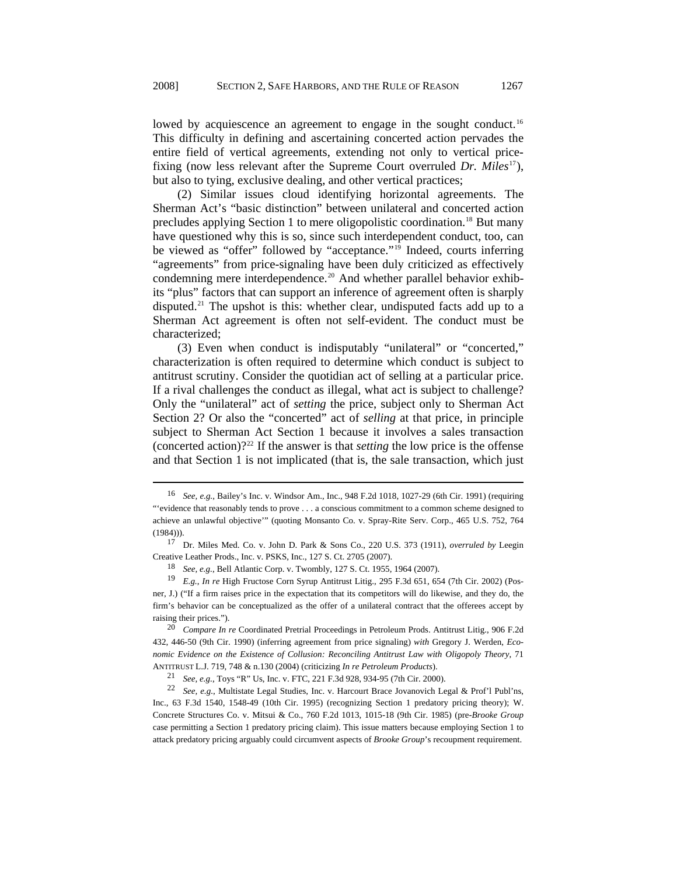lowed by acquiescence an agreement to engage in the sought conduct.<sup>[16](#page-2-0)</sup> This difficulty in defining and ascertaining concerted action pervades the entire field of vertical agreements, extending not only to vertical pricefixing (now less relevant after the Supreme Court overruled *Dr. Miles*[17](#page-2-1)), but also to tying, exclusive dealing, and other vertical practices;

(2) Similar issues cloud identifying horizontal agreements. The Sherman Act's "basic distinction" between unilateral and concerted action precludes applying Section 1 to mere oligopolistic coordination.<sup>[18](#page-2-2)</sup> But many have questioned why this is so, since such interdependent conduct, too, can be viewed as "offer" followed by "acceptance."[19](#page-2-3) Indeed, courts inferring "agreements" from price-signaling have been duly criticized as effectively condemning mere interdependence.<sup>[20](#page-2-4)</sup> And whether parallel behavior exhibits "plus" factors that can support an inference of agreement often is sharply disputed.<sup>[21](#page-2-5)</sup> The upshot is this: whether clear, undisputed facts add up to a Sherman Act agreement is often not self-evident. The conduct must be characterized;

(3) Even when conduct is indisputably "unilateral" or "concerted," characterization is often required to determine which conduct is subject to antitrust scrutiny. Consider the quotidian act of selling at a particular price. If a rival challenges the conduct as illegal, what act is subject to challenge? Only the "unilateral" act of *setting* the price, subject only to Sherman Act Section 2? Or also the "concerted" act of *selling* at that price, in principle subject to Sherman Act Section 1 because it involves a sales transaction (concerted action)?[22](#page-2-6) If the answer is that *setting* the low price is the offense and that Section 1 is not implicated (that is, the sale transaction, which just

<span id="page-2-0"></span><sup>16</sup> *See, e.g.*, Bailey's Inc. v. Windsor Am., Inc., 948 F.2d 1018, 1027-29 (6th Cir. 1991) (requiring "'evidence that reasonably tends to prove . . . a conscious commitment to a common scheme designed to achieve an unlawful objective'" (quoting Monsanto Co. v. Spray-Rite Serv. Corp., 465 U.S. 752, 764 (1984))).

<span id="page-2-1"></span><sup>17</sup> Dr. Miles Med. Co. v. John D. Park & Sons Co., 220 U.S. 373 (1911), *overruled by* Leegin Creative Leather Prods., Inc. v. PSKS, Inc., 127 S. Ct. 2705 (2007).

<sup>18</sup> *See, e.g.*, Bell Atlantic Corp. v. Twombly, 127 S. Ct. 1955, 1964 (2007).

<span id="page-2-3"></span><span id="page-2-2"></span><sup>19</sup> *E.g.*, *In re* High Fructose Corn Syrup Antitrust Litig., 295 F.3d 651, 654 (7th Cir. 2002) (Posner, J.) ("If a firm raises price in the expectation that its competitors will do likewise, and they do, the firm's behavior can be conceptualized as the offer of a unilateral contract that the offerees accept by raising their prices.").

<span id="page-2-4"></span><sup>20</sup> *Compare In re* Coordinated Pretrial Proceedings in Petroleum Prods. Antitrust Litig., 906 F.2d 432, 446-50 (9th Cir. 1990) (inferring agreement from price signaling) *with* Gregory J. Werden, *Economic Evidence on the Existence of Collusion: Reconciling Antitrust Law with Oligopoly Theory*, 71 ANTITRUST L.J. 719, 748 & n.130 (2004) (criticizing *In re Petroleum Products*).

<sup>21</sup> *See, e.g.*, Toys "R" Us, Inc. v. FTC, 221 F.3d 928, 934-95 (7th Cir. 2000).

<span id="page-2-6"></span><span id="page-2-5"></span><sup>22</sup> *See, e.g.*, Multistate Legal Studies, Inc. v. Harcourt Brace Jovanovich Legal & Prof'l Publ'ns, Inc., 63 F.3d 1540, 1548-49 (10th Cir. 1995) (recognizing Section 1 predatory pricing theory); W. Concrete Structures Co. v. Mitsui & Co., 760 F.2d 1013, 1015-18 (9th Cir. 1985) (pre-*Brooke Group* case permitting a Section 1 predatory pricing claim). This issue matters because employing Section 1 to attack predatory pricing arguably could circumvent aspects of *Brooke Group*'s recoupment requirement.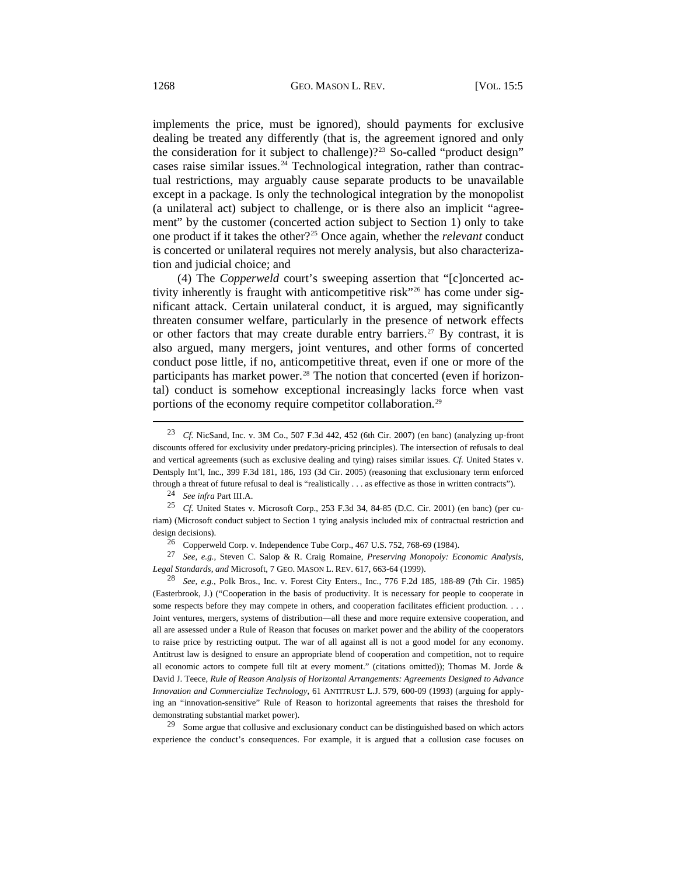implements the price, must be ignored), should payments for exclusive dealing be treated any differently (that is, the agreement ignored and only the consideration for it subject to challenge)?<sup>[23](#page-3-0)</sup> So-called "product design" cases raise similar issues. $24$  Technological integration, rather than contractual restrictions, may arguably cause separate products to be unavailable except in a package. Is only the technological integration by the monopolist (a unilateral act) subject to challenge, or is there also an implicit "agreement" by the customer (concerted action subject to Section 1) only to take one product if it takes the other?[25](#page-3-2) Once again, whether the *relevant* conduct is concerted or unilateral requires not merely analysis, but also characterization and judicial choice; and

(4) The *Copperweld* court's sweeping assertion that "[c]oncerted activity inherently is fraught with anticompetitive risk"[26](#page-3-3) has come under significant attack. Certain unilateral conduct, it is argued, may significantly threaten consumer welfare, particularly in the presence of network effects or other factors that may create durable entry barriers.<sup>[27](#page-3-4)</sup> By contrast, it is also argued, many mergers, joint ventures, and other forms of concerted conduct pose little, if no, anticompetitive threat, even if one or more of the participants has market power.<sup>[28](#page-3-5)</sup> The notion that concerted (even if horizontal) conduct is somehow exceptional increasingly lacks force when vast portions of the economy require competitor collaboration.<sup>[29](#page-3-6)</sup>  $\overline{a}$ 

<sup>24</sup> *See infra* Part III.A.

<span id="page-3-4"></span><span id="page-3-3"></span><sup>27</sup> *See, e.g.*, Steven C. Salop & R. Craig Romaine, *Preserving Monopoly: Economic Analysis, Legal Standards, and* Microsoft, 7 GEO. MASON L. REV. 617, 663-64 (1999).

<span id="page-3-5"></span><sup>28</sup> *See, e.g.*, Polk Bros., Inc. v. Forest City Enters., Inc., 776 F.2d 185, 188-89 (7th Cir. 1985) (Easterbrook, J.) ("Cooperation in the basis of productivity. It is necessary for people to cooperate in some respects before they may compete in others, and cooperation facilitates efficient production. . . . Joint ventures, mergers, systems of distribution—all these and more require extensive cooperation, and all are assessed under a Rule of Reason that focuses on market power and the ability of the cooperators to raise price by restricting output. The war of all against all is not a good model for any economy. Antitrust law is designed to ensure an appropriate blend of cooperation and competition, not to require all economic actors to compete full tilt at every moment." (citations omitted)); Thomas M. Jorde & David J. Teece, *Rule of Reason Analysis of Horizontal Arrangements: Agreements Designed to Advance Innovation and Commercialize Technology*, 61 ANTITRUST L.J. 579, 600-09 (1993) (arguing for applying an "innovation-sensitive" Rule of Reason to horizontal agreements that raises the threshold for demonstrating substantial market power).

<span id="page-3-6"></span><sup>29</sup> Some argue that collusive and exclusionary conduct can be distinguished based on which actors experience the conduct's consequences. For example, it is argued that a collusion case focuses on

<span id="page-3-0"></span><sup>23</sup> *Cf.* NicSand, Inc. v. 3M Co., 507 F.3d 442, 452 (6th Cir. 2007) (en banc) (analyzing up-front discounts offered for exclusivity under predatory-pricing principles). The intersection of refusals to deal and vertical agreements (such as exclusive dealing and tying) raises similar issues. *Cf.* United States v. Dentsply Int'l, Inc., 399 F.3d 181, 186, 193 (3d Cir. 2005) (reasoning that exclusionary term enforced through a threat of future refusal to deal is "realistically . . . as effective as those in written contracts").

<span id="page-3-2"></span><span id="page-3-1"></span><sup>25</sup> *Cf.* United States v. Microsoft Corp., 253 F.3d 34, 84-85 (D.C. Cir. 2001) (en banc) (per curiam) (Microsoft conduct subject to Section 1 tying analysis included mix of contractual restriction and design decisions).

 $26$  Copperweld Corp. v. Independence Tube Corp., 467 U.S. 752, 768-69 (1984).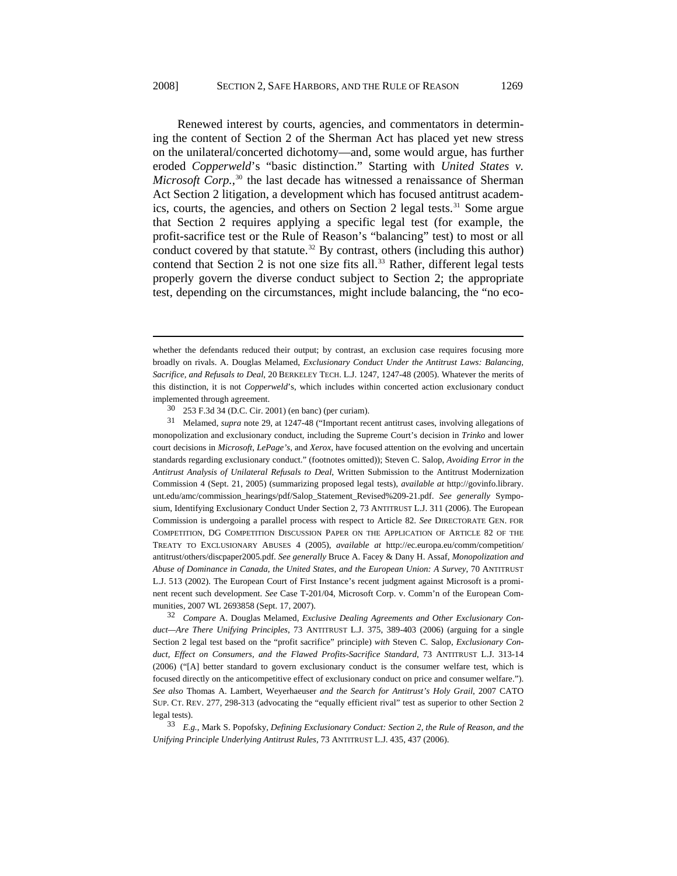Renewed interest by courts, agencies, and commentators in determining the content of Section 2 of the Sherman Act has placed yet new stress on the unilateral/concerted dichotomy—and, some would argue, has further eroded *Copperweld*'s "basic distinction." Starting with *United States v. Microsoft Corp.*,<sup>[30](#page-4-0)</sup> the last decade has witnessed a renaissance of Sherman Act Section 2 litigation, a development which has focused antitrust academ-ics, courts, the agencies, and others on Section 2 legal tests.<sup>[31](#page-4-1)</sup> Some argue that Section 2 requires applying a specific legal test (for example, the profit-sacrifice test or the Rule of Reason's "balancing" test) to most or all conduct covered by that statute.<sup>[32](#page-4-2)</sup> By contrast, others (including this author) contend that Section 2 is not one size fits all. $33$  Rather, different legal tests properly govern the diverse conduct subject to Section 2; the appropriate test, depending on the circumstances, might include balancing, the "no eco-

l

<span id="page-4-2"></span><sup>32</sup> *Compare* A. Douglas Melamed, *Exclusive Dealing Agreements and Other Exclusionary Conduct—Are There Unifying Principles*, 73 ANTITRUST L.J. 375, 389-403 (2006) (arguing for a single Section 2 legal test based on the "profit sacrifice" principle) *with* Steven C. Salop, *Exclusionary Conduct, Effect on Consumers, and the Flawed Profits-Sacrifice Standard*, 73 ANTITRUST L.J. 313-14 (2006) ("[A] better standard to govern exclusionary conduct is the consumer welfare test, which is focused directly on the anticompetitive effect of exclusionary conduct on price and consumer welfare."). *See also* Thomas A. Lambert, Weyerhaeuser *and the Search for Antitrust's Holy Grail*, 2007 CATO SUP. CT. REV. 277, 298-313 (advocating the "equally efficient rival" test as superior to other Section 2 legal tests).

<span id="page-4-3"></span><sup>33</sup> *E.g.*, Mark S. Popofsky, *Defining Exclusionary Conduct: Section 2, the Rule of Reason, and the Unifying Principle Underlying Antitrust Rules*, 73 ANTITRUST L.J. 435, 437 (2006).

whether the defendants reduced their output; by contrast, an exclusion case requires focusing more broadly on rivals. A. Douglas Melamed, *Exclusionary Conduct Under the Antitrust Laws: Balancing, Sacrifice, and Refusals to Deal*, 20 BERKELEY TECH. L.J. 1247, 1247-48 (2005). Whatever the merits of this distinction, it is not *Copperweld*'s, which includes within concerted action exclusionary conduct implemented through agreement.

<sup>30 253</sup> F.3d 34 (D.C. Cir. 2001) (en banc) (per curiam).

<span id="page-4-1"></span><span id="page-4-0"></span><sup>31</sup> Melamed, *supra* note 29, at 1247-48 ("Important recent antitrust cases, involving allegations of monopolization and exclusionary conduct, including the Supreme Court's decision in *Trinko* and lower court decisions in *Microsoft*, *LePage's*, and *Xerox*, have focused attention on the evolving and uncertain standards regarding exclusionary conduct." (footnotes omitted)); Steven C. Salop, *Avoiding Error in the Antitrust Analysis of Unilateral Refusals to Deal*, Written Submission to the Antitrust Modernization Commission 4 (Sept. 21, 2005) (summarizing proposed legal tests), *available at* [http://govinfo.library.](http://govinfo.library.unt.edu/amc/commission_hearings/pdf/Salop_Statement_Revised%209-21.pdf) [unt.edu/amc/commission\\_hearings/pdf/Salop\\_Statement\\_Revised%209-21.pdf.](http://govinfo.library.unt.edu/amc/commission_hearings/pdf/Salop_Statement_Revised%209-21.pdf) *See generally* Symposium, Identifying Exclusionary Conduct Under Section 2, 73 ANTITRUST L.J. 311 (2006). The European Commission is undergoing a parallel process with respect to Article 82. *See* DIRECTORATE GEN. FOR COMPETITION, DG COMPETITION DISCUSSION PAPER ON THE APPLICATION OF ARTICLE 82 OF THE TREATY TO EXCLUSIONARY ABUSES 4 (2005), *available at* [http://ec.europa.eu/comm/competition/](http://ec.europa.eu/comm/competition/antitrust/others/discpaper2005.pdf) [antitrust/others/discpaper2005.pdf.](http://ec.europa.eu/comm/competition/antitrust/others/discpaper2005.pdf) *See generally* Bruce A. Facey & Dany H. Assaf, *Monopolization and Abuse of Dominance in Canada, the United States, and the European Union: A Survey*, 70 ANTITRUST L.J. 513 (2002). The European Court of First Instance's recent judgment against Microsoft is a prominent recent such development. *See* Case T-201/04, Microsoft Corp. v. Comm'n of the European Communities, 2007 WL 2693858 (Sept. 17, 2007).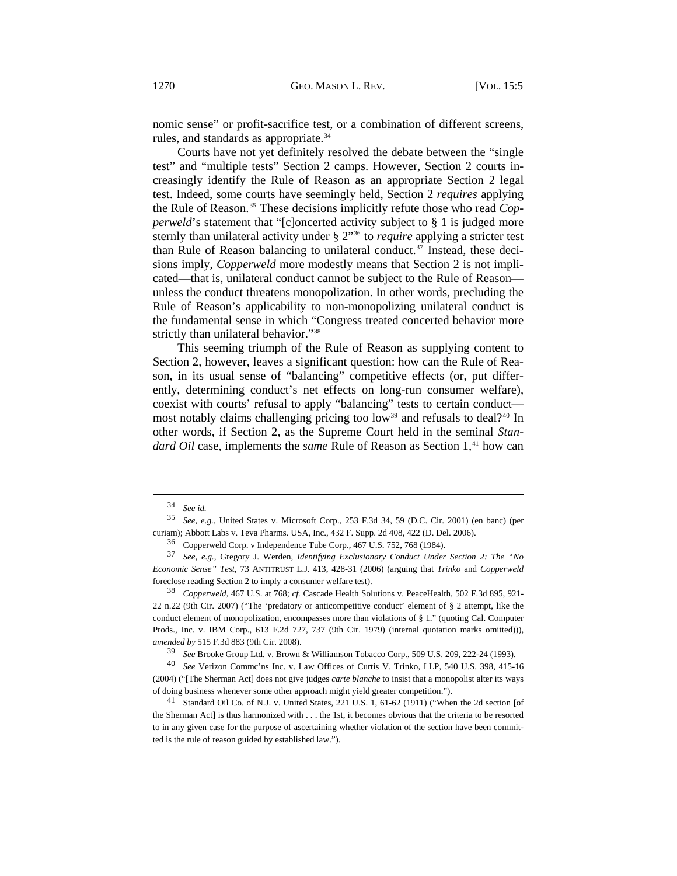nomic sense" or profit-sacrifice test, or a combination of different screens, rules, and standards as appropriate.<sup>[34](#page-5-0)</sup>

Courts have not yet definitely resolved the debate between the "single test" and "multiple tests" Section 2 camps. However, Section 2 courts increasingly identify the Rule of Reason as an appropriate Section 2 legal test. Indeed, some courts have seemingly held, Section 2 *requires* applying the Rule of Reason.[35](#page-5-1) These decisions implicitly refute those who read *Copperweld*'s statement that "[c]oncerted activity subject to § 1 is judged more sternly than unilateral activity under § 2"[36](#page-5-2) to *require* applying a stricter test than Rule of Reason balancing to unilateral conduct.<sup>[37](#page-5-3)</sup> Instead, these decisions imply, *Copperweld* more modestly means that Section 2 is not implicated—that is, unilateral conduct cannot be subject to the Rule of Reason unless the conduct threatens monopolization. In other words, precluding the Rule of Reason's applicability to non-monopolizing unilateral conduct is the fundamental sense in which "Congress treated concerted behavior more strictly than unilateral behavior."<sup>[38](#page-5-4)</sup>

This seeming triumph of the Rule of Reason as supplying content to Section 2, however, leaves a significant question: how can the Rule of Reason, in its usual sense of "balancing" competitive effects (or, put differently, determining conduct's net effects on long-run consumer welfare), coexist with courts' refusal to apply "balancing" tests to certain conduct— most notably claims challenging pricing too low<sup>[39](#page-5-5)</sup> and refusals to deal?<sup>[40](#page-5-6)</sup> In other words, if Section 2, as the Supreme Court held in the seminal *Standard Oil* case, implements the *same* Rule of Reason as Section 1,<sup>[41](#page-5-7)</sup> how can

<sup>34</sup> *See id.*

<span id="page-5-1"></span><span id="page-5-0"></span><sup>35</sup> *See, e.g.*, United States v. Microsoft Corp., 253 F.3d 34, 59 (D.C. Cir. 2001) (en banc) (per curiam); Abbott Labs v. Teva Pharms. USA, Inc., 432 F. Supp. 2d 408, 422 (D. Del. 2006).

<sup>36</sup> Copperweld Corp. v Independence Tube Corp., 467 U.S. 752, 768 (1984).

<span id="page-5-3"></span><span id="page-5-2"></span><sup>37</sup> *See, e.g.*, Gregory J. Werden, *Identifying Exclusionary Conduct Under Section 2: The "No Economic Sense" Test*, 73 ANTITRUST L.J. 413, 428-31 (2006) (arguing that *Trinko* and *Copperweld* foreclose reading Section 2 to imply a consumer welfare test).

<span id="page-5-4"></span><sup>38</sup> *Copperweld*, 467 U.S. at 768; *cf.* Cascade Health Solutions v. PeaceHealth, 502 F.3d 895, 921- 22 n.22 (9th Cir. 2007) ("The 'predatory or anticompetitive conduct' element of § 2 attempt, like the conduct element of monopolization, encompasses more than violations of § 1." (quoting Cal. Computer Prods., Inc. v. IBM Corp., 613 F.2d 727, 737 (9th Cir. 1979) (internal quotation marks omitted))), *amended by* 515 F.3d 883 (9th Cir. 2008).

<sup>39</sup> *See* Brooke Group Ltd. v. Brown & Williamson Tobacco Corp., 509 U.S. 209, 222-24 (1993).

<span id="page-5-6"></span><span id="page-5-5"></span><sup>40</sup> *See* Verizon Commc'ns Inc. v. Law Offices of Curtis V. Trinko, LLP, 540 U.S. 398, 415-16 (2004) ("[The Sherman Act] does not give judges *carte blanche* to insist that a monopolist alter its ways of doing business whenever some other approach might yield greater competition.").

<span id="page-5-7"></span><sup>41</sup> Standard Oil Co. of N.J. v. United States, 221 U.S. 1, 61-62 (1911) ("When the 2d section [of the Sherman Act] is thus harmonized with . . . the 1st, it becomes obvious that the criteria to be resorted to in any given case for the purpose of ascertaining whether violation of the section have been committed is the rule of reason guided by established law.").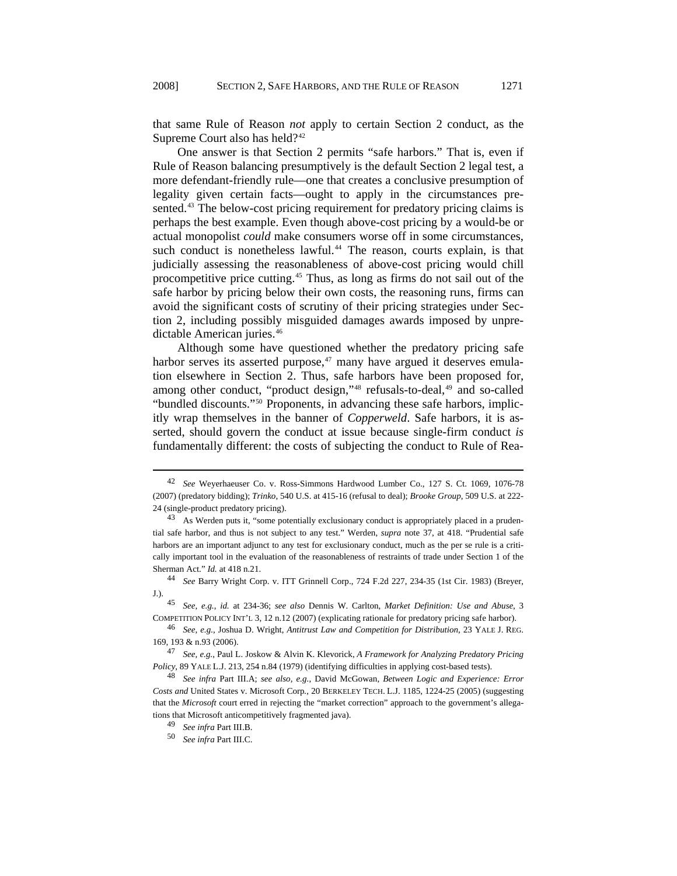that same Rule of Reason *not* apply to certain Section 2 conduct, as the Supreme Court also has held?<sup>[42](#page-6-0)</sup>

One answer is that Section 2 permits "safe harbors." That is, even if Rule of Reason balancing presumptively is the default Section 2 legal test, a more defendant-friendly rule—one that creates a conclusive presumption of legality given certain facts—ought to apply in the circumstances pre-sented.<sup>[43](#page-6-1)</sup> The below-cost pricing requirement for predatory pricing claims is perhaps the best example. Even though above-cost pricing by a would-be or actual monopolist *could* make consumers worse off in some circumstances, such conduct is nonetheless lawful.<sup>[44](#page-6-2)</sup> The reason, courts explain, is that judicially assessing the reasonableness of above-cost pricing would chill procompetitive price cutting.[45](#page-6-3) Thus, as long as firms do not sail out of the safe harbor by pricing below their own costs, the reasoning runs, firms can avoid the significant costs of scrutiny of their pricing strategies under Section 2, including possibly misguided damages awards imposed by unpredictable American juries.<sup>46</sup>

Although some have questioned whether the predatory pricing safe harbor serves its asserted purpose, $47$  many have argued it deserves emulation elsewhere in Section 2. Thus, safe harbors have been proposed for, among other conduct, "product design,"<sup>[48](#page-6-5)</sup> refusals-to-deal,<sup>[49](#page-6-6)</sup> and so-called "bundled discounts."[50](#page-6-7) Proponents, in advancing these safe harbors, implicitly wrap themselves in the banner of *Copperweld*. Safe harbors, it is asserted, should govern the conduct at issue because single-firm conduct *is* fundamentally different: the costs of subjecting the conduct to Rule of Rea-

<span id="page-6-2"></span><sup>44</sup> *See* Barry Wright Corp. v. ITT Grinnell Corp., 724 F.2d 227, 234-35 (1st Cir. 1983) (Breyer, J.).

<span id="page-6-3"></span><sup>45</sup> *See, e.g.*, *id.* at 234-36; *see also* Dennis W. Carlton, *Market Definition: Use and Abuse*, 3 COMPETITION POLICY INT'L 3, 12 n.12 (2007) (explicating rationale for predatory pricing safe harbor).

<sup>46</sup> *See, e.g.*, Joshua D. Wright, *Antitrust Law and Competition for Distribution*, 23 YALE J. REG. 169, 193 & n.93 (2006).

<span id="page-6-4"></span><sup>47</sup> *See, e.g.*, Paul L. Joskow & Alvin K. Klevorick, *A Framework for Analyzing Predatory Pricing Policy*, 89 YALE L.J. 213, 254 n.84 (1979) (identifying difficulties in applying cost-based tests).

<span id="page-6-7"></span><span id="page-6-6"></span><span id="page-6-5"></span><sup>48</sup> *See infra* Part III.A; *see also, e.g.*, David McGowan, *Between Logic and Experience: Error Costs and* United States v. Microsoft Corp*.*, 20 BERKELEY TECH. L.J. 1185, 1224-25 (2005) (suggesting that the *Microsoft* court erred in rejecting the "market correction" approach to the government's allegations that Microsoft anticompetitively fragmented java).

<span id="page-6-0"></span><sup>42</sup> *See* Weyerhaeuser Co. v. Ross-Simmons Hardwood Lumber Co., 127 S. Ct. 1069, 1076-78 (2007) (predatory bidding); *Trinko*, 540 U.S. at 415-16 (refusal to deal); *Brooke Group*, 509 U.S. at 222- 24 (single-product predatory pricing).

<span id="page-6-1"></span><sup>&</sup>lt;sup>43</sup> As Werden puts it, "some potentially exclusionary conduct is appropriately placed in a prudential safe harbor, and thus is not subject to any test." Werden, *supra* note 37, at 418. "Prudential safe harbors are an important adjunct to any test for exclusionary conduct, much as the per se rule is a critically important tool in the evaluation of the reasonableness of restraints of trade under Section 1 of the Sherman Act." *Id.* at 418 n.21.

<sup>49</sup> *See infra* Part III.B.

<sup>50</sup> *See infra* Part III.C.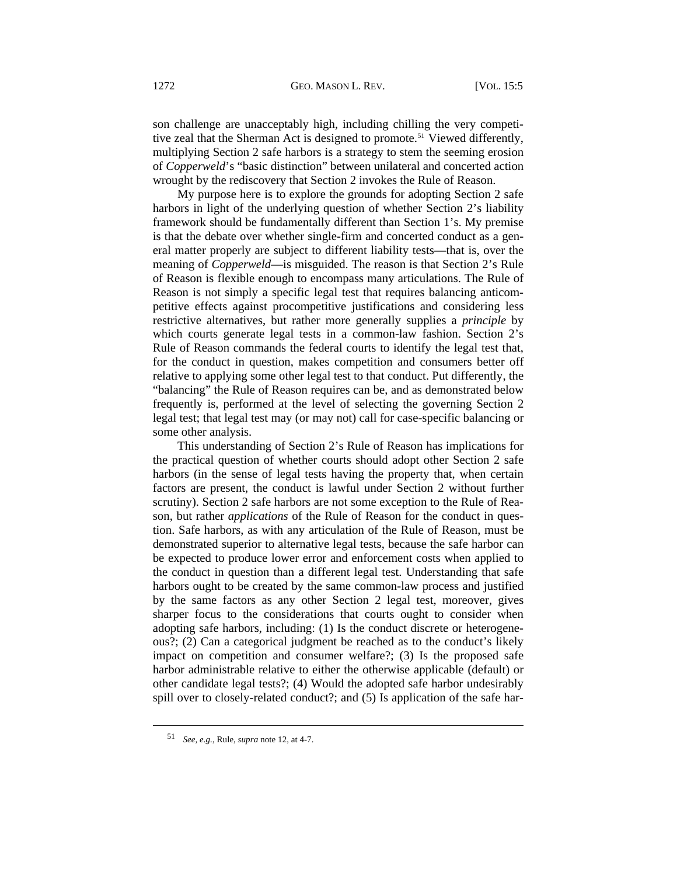son challenge are unacceptably high, including chilling the very competi-tive zeal that the Sherman Act is designed to promote.<sup>[51](#page-7-0)</sup> Viewed differently, multiplying Section 2 safe harbors is a strategy to stem the seeming erosion of *Copperweld*'s "basic distinction" between unilateral and concerted action wrought by the rediscovery that Section 2 invokes the Rule of Reason.

My purpose here is to explore the grounds for adopting Section 2 safe harbors in light of the underlying question of whether Section 2's liability framework should be fundamentally different than Section 1's. My premise is that the debate over whether single-firm and concerted conduct as a general matter properly are subject to different liability tests—that is, over the meaning of *Copperweld*—is misguided. The reason is that Section 2's Rule of Reason is flexible enough to encompass many articulations. The Rule of Reason is not simply a specific legal test that requires balancing anticompetitive effects against procompetitive justifications and considering less restrictive alternatives, but rather more generally supplies a *principle* by which courts generate legal tests in a common-law fashion. Section 2's Rule of Reason commands the federal courts to identify the legal test that, for the conduct in question, makes competition and consumers better off relative to applying some other legal test to that conduct. Put differently, the "balancing" the Rule of Reason requires can be, and as demonstrated below frequently is, performed at the level of selecting the governing Section 2 legal test; that legal test may (or may not) call for case-specific balancing or some other analysis.

This understanding of Section 2's Rule of Reason has implications for the practical question of whether courts should adopt other Section 2 safe harbors (in the sense of legal tests having the property that, when certain factors are present, the conduct is lawful under Section 2 without further scrutiny). Section 2 safe harbors are not some exception to the Rule of Reason, but rather *applications* of the Rule of Reason for the conduct in question. Safe harbors, as with any articulation of the Rule of Reason, must be demonstrated superior to alternative legal tests, because the safe harbor can be expected to produce lower error and enforcement costs when applied to the conduct in question than a different legal test. Understanding that safe harbors ought to be created by the same common-law process and justified by the same factors as any other Section 2 legal test, moreover, gives sharper focus to the considerations that courts ought to consider when adopting safe harbors, including: (1) Is the conduct discrete or heterogeneous?; (2) Can a categorical judgment be reached as to the conduct's likely impact on competition and consumer welfare?; (3) Is the proposed safe harbor administrable relative to either the otherwise applicable (default) or other candidate legal tests?; (4) Would the adopted safe harbor undesirably spill over to closely-related conduct?; and (5) Is application of the safe har-

<span id="page-7-0"></span><sup>51</sup> *See, e.g.*, Rule, *supra* note 12, at 4-7.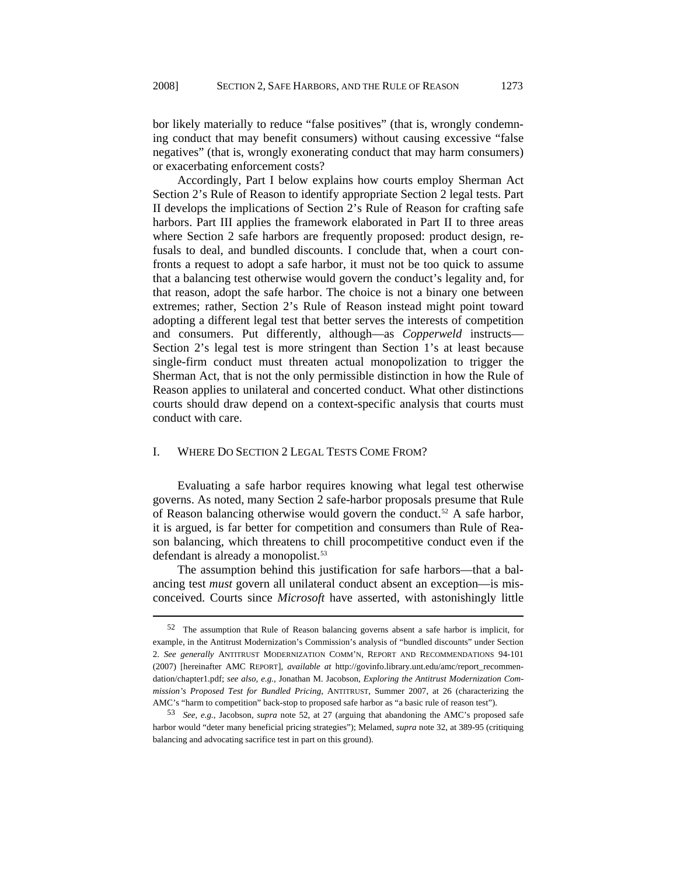bor likely materially to reduce "false positives" (that is, wrongly condemning conduct that may benefit consumers) without causing excessive "false negatives" (that is, wrongly exonerating conduct that may harm consumers) or exacerbating enforcement costs?

Accordingly, Part I below explains how courts employ Sherman Act Section 2's Rule of Reason to identify appropriate Section 2 legal tests. Part II develops the implications of Section 2's Rule of Reason for crafting safe harbors. Part III applies the framework elaborated in Part II to three areas where Section 2 safe harbors are frequently proposed: product design, refusals to deal, and bundled discounts. I conclude that, when a court confronts a request to adopt a safe harbor, it must not be too quick to assume that a balancing test otherwise would govern the conduct's legality and, for that reason, adopt the safe harbor. The choice is not a binary one between extremes; rather, Section 2's Rule of Reason instead might point toward adopting a different legal test that better serves the interests of competition and consumers. Put differently, although—as *Copperweld* instructs— Section 2's legal test is more stringent than Section 1's at least because single-firm conduct must threaten actual monopolization to trigger the Sherman Act, that is not the only permissible distinction in how the Rule of Reason applies to unilateral and concerted conduct. What other distinctions courts should draw depend on a context-specific analysis that courts must conduct with care.

### I. WHERE DO SECTION 2 LEGAL TESTS COME FROM?

l

Evaluating a safe harbor requires knowing what legal test otherwise governs. As noted, many Section 2 safe-harbor proposals presume that Rule of Reason balancing otherwise would govern the conduct.<sup>[52](#page-8-0)</sup> A safe harbor, it is argued, is far better for competition and consumers than Rule of Reason balancing, which threatens to chill procompetitive conduct even if the defendant is already a monopolist.<sup>[53](#page-8-1)</sup>

The assumption behind this justification for safe harbors—that a balancing test *must* govern all unilateral conduct absent an exception—is misconceived. Courts since *Microsoft* have asserted, with astonishingly little

<span id="page-8-0"></span><sup>52</sup> The assumption that Rule of Reason balancing governs absent a safe harbor is implicit, for example, in the Antitrust Modernization's Commission's analysis of "bundled discounts" under Section 2. *See generally* ANTITRUST MODERNIZATION COMM'N, REPORT AND RECOMMENDATIONS 94-101 (2007) [hereinafter AMC REPORT], *available at* [http://govinfo.library.unt.edu/amc/report\\_recommen](http://govinfo.library.unt.edu/amc/report_recommendation/chapter1.pdf)[dation/chapter1.pdf;](http://govinfo.library.unt.edu/amc/report_recommendation/chapter1.pdf) *see also, e.g.*, Jonathan M. Jacobson, *Exploring the Antitrust Modernization Commission's Proposed Test for Bundled Pricing*, ANTITRUST, Summer 2007, at 26 (characterizing the AMC's "harm to competition" back-stop to proposed safe harbor as "a basic rule of reason test").

<span id="page-8-1"></span><sup>53</sup> *See, e.g.*, Jacobson, *supra* note 52, at 27 (arguing that abandoning the AMC's proposed safe harbor would "deter many beneficial pricing strategies"); Melamed, *supra* note 32, at 389-95 (critiquing balancing and advocating sacrifice test in part on this ground).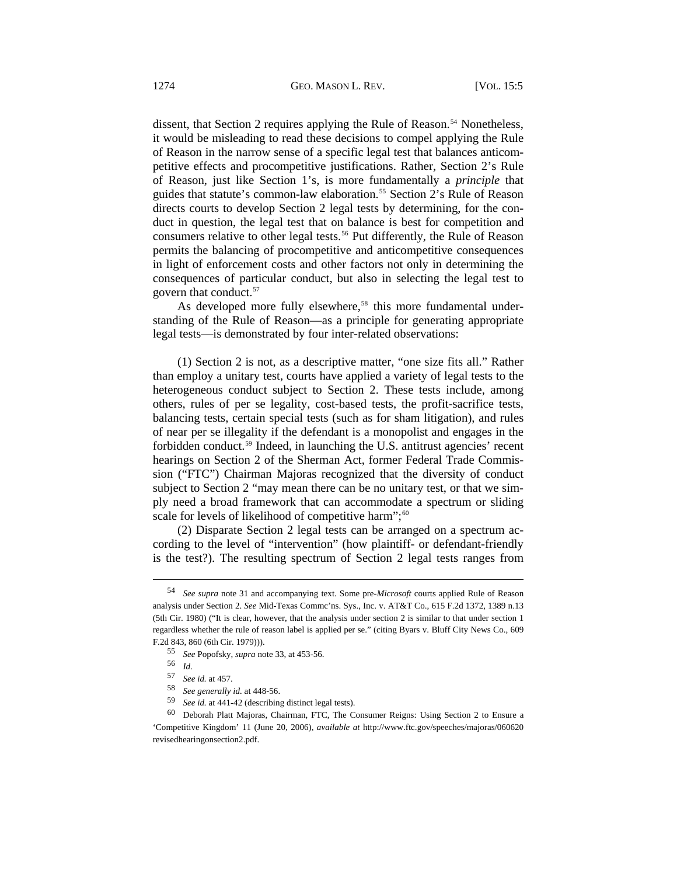dissent, that Section 2 requires applying the Rule of Reason.<sup>[54](#page-9-0)</sup> Nonetheless, it would be misleading to read these decisions to compel applying the Rule of Reason in the narrow sense of a specific legal test that balances anticompetitive effects and procompetitive justifications. Rather, Section 2's Rule of Reason, just like Section 1's, is more fundamentally a *principle* that guides that statute's common-law elaboration.<sup>[55](#page-9-1)</sup> Section 2's Rule of Reason directs courts to develop Section 2 legal tests by determining, for the conduct in question, the legal test that on balance is best for competition and consumers relative to other legal tests.<sup>[56](#page-9-2)</sup> Put differently, the Rule of Reason permits the balancing of procompetitive and anticompetitive consequences in light of enforcement costs and other factors not only in determining the consequences of particular conduct, but also in selecting the legal test to govern that conduct.[57](#page-9-3)

As developed more fully elsewhere,<sup>[58](#page-9-4)</sup> this more fundamental understanding of the Rule of Reason—as a principle for generating appropriate legal tests—is demonstrated by four inter-related observations:

(1) Section 2 is not, as a descriptive matter, "one size fits all." Rather than employ a unitary test, courts have applied a variety of legal tests to the heterogeneous conduct subject to Section 2. These tests include, among others, rules of per se legality, cost-based tests, the profit-sacrifice tests, balancing tests, certain special tests (such as for sham litigation), and rules of near per se illegality if the defendant is a monopolist and engages in the forbidden conduct.[59](#page-9-5) Indeed, in launching the U.S. antitrust agencies' recent hearings on Section 2 of the Sherman Act, former Federal Trade Commission ("FTC") Chairman Majoras recognized that the diversity of conduct subject to Section 2 "may mean there can be no unitary test, or that we simply need a broad framework that can accommodate a spectrum or sliding scale for levels of likelihood of competitive harm";<sup>[60](#page-9-6)</sup>

(2) Disparate Section 2 legal tests can be arranged on a spectrum according to the level of "intervention" (how plaintiff- or defendant-friendly is the test?). The resulting spectrum of Section 2 legal tests ranges from

<span id="page-9-1"></span><span id="page-9-0"></span><sup>54</sup> *See supra* note 31 and accompanying text. Some pre-*Microsoft* courts applied Rule of Reason analysis under Section 2. *See* Mid-Texas Commc'ns. Sys., Inc. v. AT&T Co., 615 F.2d 1372, 1389 n.13 (5th Cir. 1980) ("It is clear, however, that the analysis under section 2 is similar to that under section 1 regardless whether the rule of reason label is applied per se." (citing Byars v. Bluff City News Co., 609 F.2d 843, 860 (6th Cir. 1979))).

<sup>55</sup> *See* Popofsky, *supra* note 33, at 453-56.

<sup>56</sup> *Id.* 57 *See id.* at 457.

<sup>58</sup> *See generally id.* at 448-56.

<sup>59</sup> *See id.* at 441-42 (describing distinct legal tests).

<span id="page-9-6"></span><span id="page-9-5"></span><span id="page-9-4"></span><span id="page-9-3"></span><span id="page-9-2"></span><sup>60</sup> Deborah Platt Majoras, Chairman, FTC, The Consumer Reigns: Using Section 2 to Ensure a 'Competitive Kingdom' 11 (June 20, 2006), *available at* [http://www.ftc.gov/speeches/majoras/060620](http://www.ftc.gov/speeches/majoras/060620revisedhearingonsection2.pdf) [revisedhearingonsection2.pdf.](http://www.ftc.gov/speeches/majoras/060620revisedhearingonsection2.pdf)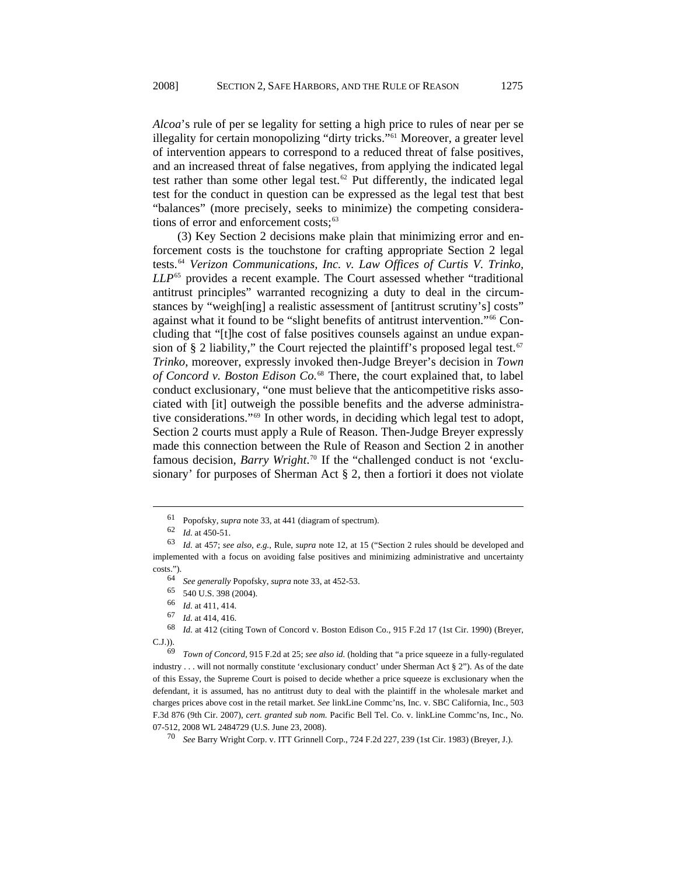*Alcoa*'s rule of per se legality for setting a high price to rules of near per se illegality for certain monopolizing "dirty tricks."<sup>[61](#page-10-0)</sup> Moreover, a greater level of intervention appears to correspond to a reduced threat of false positives, and an increased threat of false negatives, from applying the indicated legal test rather than some other legal test.<sup>[62](#page-10-1)</sup> Put differently, the indicated legal test for the conduct in question can be expressed as the legal test that best "balances" (more precisely, seeks to minimize) the competing considera-tions of error and enforcement costs;<sup>[63](#page-10-2)</sup>

(3) Key Section 2 decisions make plain that minimizing error and enforcement costs is the touchstone for crafting appropriate Section 2 legal tests.[64](#page-10-3) *Verizon Communications, Inc. v. Law Offices of Curtis V. Trinko, LLP*[65](#page-10-4) provides a recent example. The Court assessed whether "traditional antitrust principles" warranted recognizing a duty to deal in the circumstances by "weighting] a realistic assessment of fantitrust scrutiny's] costs" against what it found to be "slight benefits of antitrust intervention."[66](#page-10-5) Concluding that "[t]he cost of false positives counsels against an undue expan-sion of § 2 liability," the Court rejected the plaintiff's proposed legal test.<sup>[67](#page-10-6)</sup> *Trinko*, moreover, expressly invoked then-Judge Breyer's decision in *Town of Concord v. Boston Edison Co.*[68](#page-10-7) There, the court explained that, to label conduct exclusionary, "one must believe that the anticompetitive risks associated with [it] outweigh the possible benefits and the adverse administrative considerations."[69](#page-10-8) In other words, in deciding which legal test to adopt, Section 2 courts must apply a Rule of Reason. Then-Judge Breyer expressly made this connection between the Rule of Reason and Section 2 in another famous decision, *Barry Wright*. [70](#page-10-9) If the "challenged conduct is not 'exclusionary' for purposes of Sherman Act § 2, then a fortiori it does not violate

<sup>61</sup> Popofsky, *supra* note 33, at 441 (diagram of spectrum).

<sup>62</sup> *Id.* at 450-51.

<span id="page-10-3"></span><span id="page-10-2"></span><span id="page-10-1"></span><span id="page-10-0"></span><sup>63</sup> *Id.* at 457; *see also, e.g.*, Rule, *supra* note 12, at 15 ("Section 2 rules should be developed and implemented with a focus on avoiding false positives and minimizing administrative and uncertainty costs.").

<sup>64</sup> *See generally* Popofsky, *supra* note 33, at 452-53.

<sup>65 540</sup> U.S. 398 (2004).

<sup>66</sup> *Id.* at 411, 414.

<sup>67</sup> *Id.* at 414, 416.

<span id="page-10-7"></span><span id="page-10-6"></span><span id="page-10-5"></span><span id="page-10-4"></span>Id. at 412 (citing Town of Concord v. Boston Edison Co., 915 F.2d 17 (1st Cir. 1990) (Breyer, C.J.)).

<span id="page-10-8"></span><sup>69</sup> *Town of Concord*, 915 F.2d at 25; *see also id.* (holding that "a price squeeze in a fully-regulated industry . . . will not normally constitute 'exclusionary conduct' under Sherman Act § 2"). As of the date of this Essay, the Supreme Court is poised to decide whether a price squeeze is exclusionary when the defendant, it is assumed, has no antitrust duty to deal with the plaintiff in the wholesale market and charges prices above cost in the retail market. *See* linkLine Commc'ns, Inc. v. SBC California, Inc., 503 F.3d 876 (9th Cir. 2007), *cert. granted sub nom.* Pacific Bell Tel. Co. v. linkLine Commc'ns, Inc., No. 07-512, 2008 WL 2484729 (U.S. June 23, 2008).

<span id="page-10-9"></span><sup>70</sup> *See* Barry Wright Corp. v. ITT Grinnell Corp., 724 F.2d 227, 239 (1st Cir. 1983) (Breyer, J.).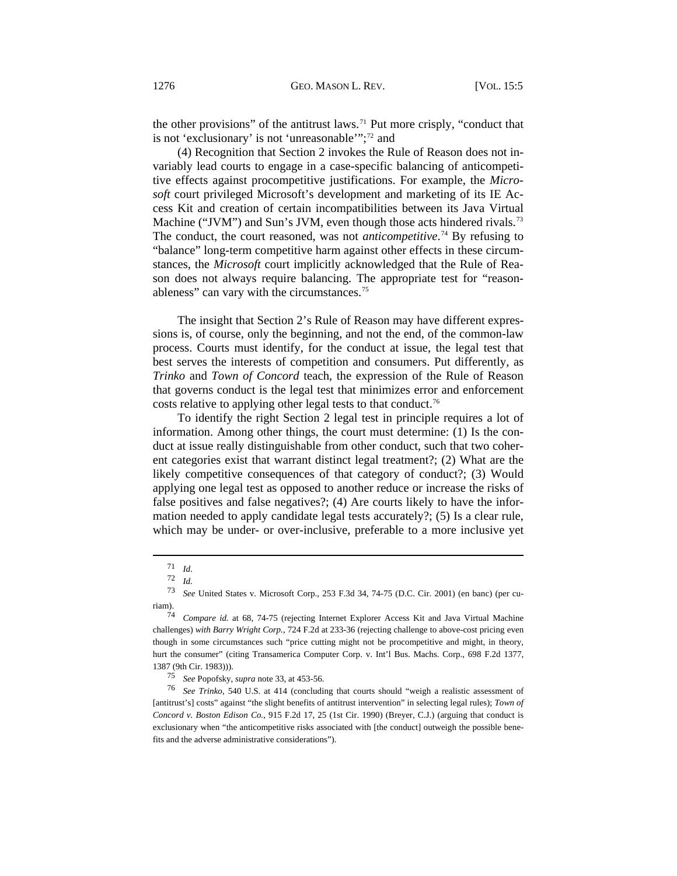the other provisions" of the antitrust laws.[71](#page-11-0) Put more crisply, "conduct that is not 'exclusionary' is not 'unreasonable'";<sup>[72](#page-11-1)</sup> and

(4) Recognition that Section 2 invokes the Rule of Reason does not invariably lead courts to engage in a case-specific balancing of anticompetitive effects against procompetitive justifications. For example, the *Microsoft* court privileged Microsoft's development and marketing of its IE Access Kit and creation of certain incompatibilities between its Java Virtual Machine ("JVM") and Sun's JVM, even though those acts hindered rivals.<sup>[73](#page-11-2)</sup> The conduct, the court reasoned, was not *anticompetitive*. [74](#page-11-3) By refusing to "balance" long-term competitive harm against other effects in these circumstances, the *Microsoft* court implicitly acknowledged that the Rule of Reason does not always require balancing. The appropriate test for "reason-ableness" can vary with the circumstances.<sup>[75](#page-11-4)</sup>

The insight that Section 2's Rule of Reason may have different expressions is, of course, only the beginning, and not the end, of the common-law process. Courts must identify, for the conduct at issue, the legal test that best serves the interests of competition and consumers. Put differently, as *Trinko* and *Town of Concord* teach, the expression of the Rule of Reason that governs conduct is the legal test that minimizes error and enforcement costs relative to applying other legal tests to that conduct.<sup>[76](#page-11-5)</sup>

To identify the right Section 2 legal test in principle requires a lot of information. Among other things, the court must determine: (1) Is the conduct at issue really distinguishable from other conduct, such that two coherent categories exist that warrant distinct legal treatment?; (2) What are the likely competitive consequences of that category of conduct?; (3) Would applying one legal test as opposed to another reduce or increase the risks of false positives and false negatives?; (4) Are courts likely to have the information needed to apply candidate legal tests accurately?; (5) Is a clear rule, which may be under- or over-inclusive, preferable to a more inclusive yet

<sup>71</sup> *Id.* 

 $\frac{72}{73}$  *Id.*  $\frac{12}{5}$ 

<span id="page-11-2"></span><span id="page-11-1"></span><span id="page-11-0"></span><sup>73</sup> *See* United States v. Microsoft Corp., 253 F.3d 34, 74-75 (D.C. Cir. 2001) (en banc) (per curiam).

<span id="page-11-3"></span><sup>74</sup> *Compare id.* at 68, 74-75 (rejecting Internet Explorer Access Kit and Java Virtual Machine challenges) *with Barry Wright Corp.*, 724 F.2d at 233-36 (rejecting challenge to above-cost pricing even though in some circumstances such "price cutting might not be procompetitive and might, in theory, hurt the consumer" (citing Transamerica Computer Corp. v. Int'l Bus. Machs. Corp., 698 F.2d 1377, 1387 (9th Cir. 1983))).

<sup>75</sup> *See* Popofsky, *supra* note 33, at 453-56.

<span id="page-11-5"></span><span id="page-11-4"></span><sup>76</sup> *See Trinko*, 540 U.S. at 414 (concluding that courts should "weigh a realistic assessment of [antitrust's] costs" against "the slight benefits of antitrust intervention" in selecting legal rules); *Town of Concord v. Boston Edison Co.,* 915 F.2d 17, 25 (1st Cir. 1990) (Breyer, C.J.) (arguing that conduct is exclusionary when "the anticompetitive risks associated with [the conduct] outweigh the possible benefits and the adverse administrative considerations").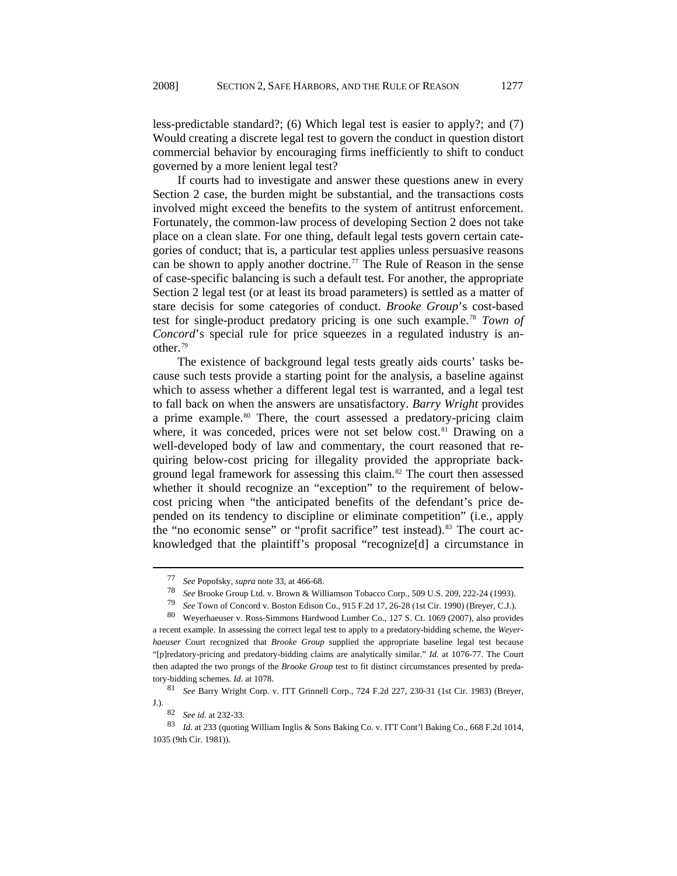less-predictable standard?; (6) Which legal test is easier to apply?; and (7) Would creating a discrete legal test to govern the conduct in question distort commercial behavior by encouraging firms inefficiently to shift to conduct governed by a more lenient legal test?

If courts had to investigate and answer these questions anew in every Section 2 case, the burden might be substantial, and the transactions costs involved might exceed the benefits to the system of antitrust enforcement. Fortunately, the common-law process of developing Section 2 does not take place on a clean slate. For one thing, default legal tests govern certain categories of conduct; that is, a particular test applies unless persuasive reasons can be shown to apply another doctrine.<sup>[77](#page-12-0)</sup> The Rule of Reason in the sense of case-specific balancing is such a default test. For another, the appropriate Section 2 legal test (or at least its broad parameters) is settled as a matter of stare decisis for some categories of conduct. *Brooke Group*'s cost-based test for single-product predatory pricing is one such example.[78](#page-12-1) *Town of Concord*'s special rule for price squeezes in a regulated industry is another.[79](#page-12-2)

The existence of background legal tests greatly aids courts' tasks because such tests provide a starting point for the analysis, a baseline against which to assess whether a different legal test is warranted, and a legal test to fall back on when the answers are unsatisfactory. *Barry Wright* provides a prime example.<sup>[80](#page-12-3)</sup> There, the court assessed a predatory-pricing claim where, it was conceded, prices were not set below cost.<sup>[81](#page-12-4)</sup> Drawing on a well-developed body of law and commentary, the court reasoned that requiring below-cost pricing for illegality provided the appropriate back-ground legal framework for assessing this claim.<sup>[82](#page-12-5)</sup> The court then assessed whether it should recognize an "exception" to the requirement of belowcost pricing when "the anticipated benefits of the defendant's price depended on its tendency to discipline or eliminate competition" (i.e*.*, apply the "no economic sense" or "profit sacrifice" test instead).<sup>[83](#page-12-6)</sup> The court acknowledged that the plaintiff's proposal "recognize[d] a circumstance in

<sup>77</sup> *See* Popofsky, *supra* note 33, at 466-68.

<sup>78</sup> *See* Brooke Group Ltd. v. Brown & Williamson Tobacco Corp., 509 U.S. 209, 222-24 (1993).

<sup>79</sup> *See* Town of Concord v. Boston Edison Co., 915 F.2d 17, 26-28 (1st Cir. 1990) (Breyer, C.J.).

<sup>80</sup> Weyerhaeuser v. Ross-Simmons Hardwood Lumber Co., 127 S. Ct. 1069 (2007), also provides

<span id="page-12-3"></span><span id="page-12-2"></span><span id="page-12-1"></span><span id="page-12-0"></span>a recent example. In assessing the correct legal test to apply to a predatory-bidding scheme, the *Weyerhaeuser* Court recognized that *Brooke Group* supplied the appropriate baseline legal test because "[p]redatory-pricing and predatory-bidding claims are analytically similar." *Id.* at 1076-77. The Court then adapted the two prongs of the *Brooke Group* test to fit distinct circumstances presented by predatory-bidding schemes. *Id.* at 1078.

<span id="page-12-4"></span><sup>81</sup> *See* Barry Wright Corp. v. ITT Grinnell Corp., 724 F.2d 227, 230-31 (1st Cir. 1983) (Breyer, J.).

<sup>82</sup> *See id.* at 232-33*.* 

<span id="page-12-6"></span><span id="page-12-5"></span><sup>83</sup> *Id.* at 233 (quoting William Inglis & Sons Baking Co. v. ITT Cont'l Baking Co., 668 F.2d 1014, 1035 (9th Cir. 1981)).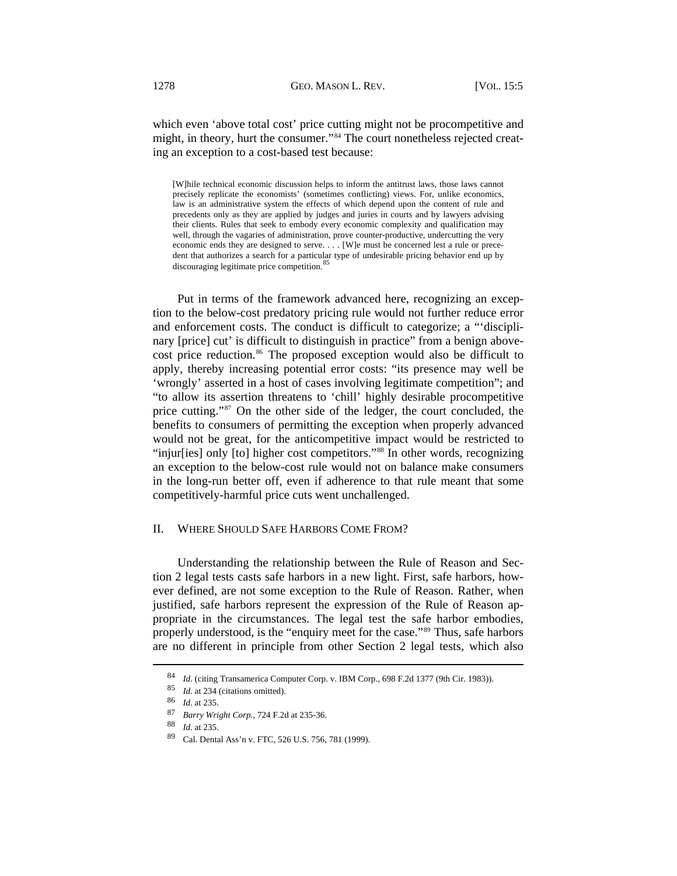which even 'above total cost' price cutting might not be procompetitive and might, in theory, hurt the consumer."<sup>[84](#page-13-0)</sup> The court nonetheless rejected creating an exception to a cost-based test because:

[W]hile technical economic discussion helps to inform the antitrust laws, those laws cannot precisely replicate the economists' (sometimes conflicting) views. For, unlike economics, law is an administrative system the effects of which depend upon the content of rule and precedents only as they are applied by judges and juries in courts and by lawyers advising their clients. Rules that seek to embody every economic complexity and qualification may well, through the vagaries of administration, prove counter-productive, undercutting the very economic ends they are designed to serve. . . . [W]e must be concerned lest a rule or precedent that authorizes a search for a particular type of undesirable pricing behavior end up by discouraging legitimate price competition.<sup>[85](#page-13-1)</sup>

Put in terms of the framework advanced here, recognizing an exception to the below-cost predatory pricing rule would not further reduce error and enforcement costs. The conduct is difficult to categorize; a "'disciplinary [price] cut' is difficult to distinguish in practice" from a benign above-cost price reduction.<sup>[86](#page-13-2)</sup> The proposed exception would also be difficult to apply, thereby increasing potential error costs: "its presence may well be 'wrongly' asserted in a host of cases involving legitimate competition"; and "to allow its assertion threatens to 'chill' highly desirable procompetitive price cutting."[87](#page-13-3) On the other side of the ledger, the court concluded, the benefits to consumers of permitting the exception when properly advanced would not be great, for the anticompetitive impact would be restricted to "injur[ies] only [to] higher cost competitors."<sup>[88](#page-13-4)</sup> In other words, recognizing an exception to the below-cost rule would not on balance make consumers in the long-run better off, even if adherence to that rule meant that some competitively-harmful price cuts went unchallenged.

# II. WHERE SHOULD SAFE HARBORS COME FROM?

Understanding the relationship between the Rule of Reason and Section 2 legal tests casts safe harbors in a new light. First, safe harbors, however defined, are not some exception to the Rule of Reason. Rather, when justified, safe harbors represent the expression of the Rule of Reason appropriate in the circumstances. The legal test the safe harbor embodies, properly understood, is the "enquiry meet for the case."[89](#page-13-5) Thus, safe harbors are no different in principle from other Section 2 legal tests, which also

<span id="page-13-0"></span><sup>84</sup> Id. (citing Transamerica Computer Corp. v. IBM Corp., 698 F.2d 1377 (9th Cir. 1983)).

<sup>85</sup> *Id.* at 234 (citations omitted).

<span id="page-13-3"></span><span id="page-13-2"></span><span id="page-13-1"></span><sup>86</sup> *Id.* at 235.

<span id="page-13-4"></span><sup>87</sup> *Barry Wright Corp.*, 724 F.2d at 235-36.

<sup>88</sup> *Id.* at 235.

<span id="page-13-5"></span><sup>89</sup> Cal. Dental Ass'n v. FTC, 526 U.S. 756, 781 (1999).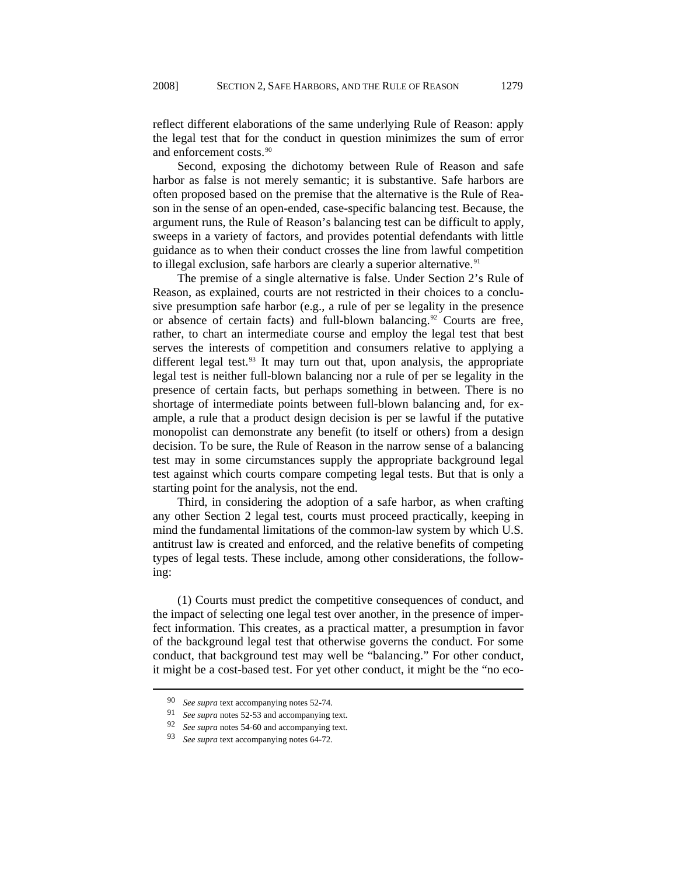reflect different elaborations of the same underlying Rule of Reason: apply the legal test that for the conduct in question minimizes the sum of error and enforcement costs.<sup>[90](#page-14-0)</sup>

Second, exposing the dichotomy between Rule of Reason and safe harbor as false is not merely semantic; it is substantive. Safe harbors are often proposed based on the premise that the alternative is the Rule of Reason in the sense of an open-ended, case-specific balancing test. Because, the argument runs, the Rule of Reason's balancing test can be difficult to apply, sweeps in a variety of factors, and provides potential defendants with little guidance as to when their conduct crosses the line from lawful competition to illegal exclusion, safe harbors are clearly a superior alternative. $91$ 

The premise of a single alternative is false. Under Section 2's Rule of Reason, as explained, courts are not restricted in their choices to a conclusive presumption safe harbor (e.g., a rule of per se legality in the presence or absence of certain facts) and full-blown balancing.<sup>92</sup> Courts are free, rather, to chart an intermediate course and employ the legal test that best serves the interests of competition and consumers relative to applying a different legal test. $93$  It may turn out that, upon analysis, the appropriate legal test is neither full-blown balancing nor a rule of per se legality in the presence of certain facts, but perhaps something in between. There is no shortage of intermediate points between full-blown balancing and, for example, a rule that a product design decision is per se lawful if the putative monopolist can demonstrate any benefit (to itself or others) from a design decision. To be sure, the Rule of Reason in the narrow sense of a balancing test may in some circumstances supply the appropriate background legal test against which courts compare competing legal tests. But that is only a starting point for the analysis, not the end.

Third, in considering the adoption of a safe harbor, as when crafting any other Section 2 legal test, courts must proceed practically, keeping in mind the fundamental limitations of the common-law system by which U.S. antitrust law is created and enforced, and the relative benefits of competing types of legal tests. These include, among other considerations, the following:

(1) Courts must predict the competitive consequences of conduct, and the impact of selecting one legal test over another, in the presence of imperfect information. This creates, as a practical matter, a presumption in favor of the background legal test that otherwise governs the conduct. For some conduct, that background test may well be "balancing." For other conduct, it might be a cost-based test. For yet other conduct, it might be the "no eco-

<span id="page-14-1"></span><span id="page-14-0"></span><sup>90</sup> See supra text accompanying notes 52-74.<br>91 See supra notes 52.52 and accompanying

See supra notes 52-53 and accompanying text.

<span id="page-14-2"></span><sup>92</sup> *See supra* notes 54-60 and accompanying text.

<span id="page-14-3"></span><sup>93</sup> *See supra* text accompanying notes 64-72.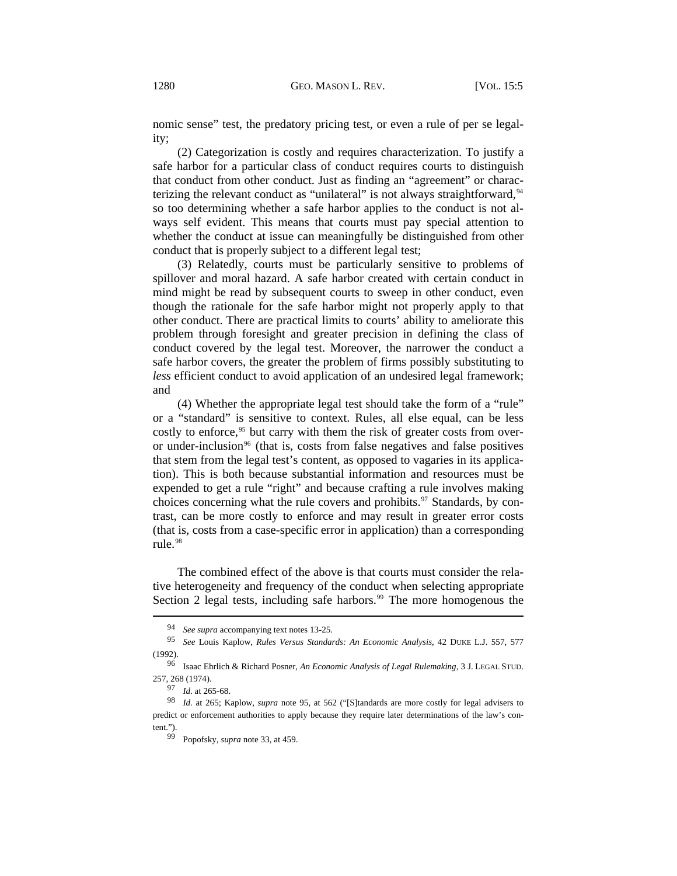nomic sense" test, the predatory pricing test, or even a rule of per se legality;

(2) Categorization is costly and requires characterization. To justify a safe harbor for a particular class of conduct requires courts to distinguish that conduct from other conduct. Just as finding an "agreement" or charac-terizing the relevant conduct as "unilateral" is not always straightforward, <sup>[94](#page-15-0)</sup> so too determining whether a safe harbor applies to the conduct is not always self evident. This means that courts must pay special attention to whether the conduct at issue can meaningfully be distinguished from other conduct that is properly subject to a different legal test;

(3) Relatedly, courts must be particularly sensitive to problems of spillover and moral hazard. A safe harbor created with certain conduct in mind might be read by subsequent courts to sweep in other conduct, even though the rationale for the safe harbor might not properly apply to that other conduct. There are practical limits to courts' ability to ameliorate this problem through foresight and greater precision in defining the class of conduct covered by the legal test. Moreover, the narrower the conduct a safe harbor covers, the greater the problem of firms possibly substituting to *less* efficient conduct to avoid application of an undesired legal framework; and

(4) Whether the appropriate legal test should take the form of a "rule" or a "standard" is sensitive to context. Rules, all else equal, can be less costly to enforce,<sup>[95](#page-15-1)</sup> but carry with them the risk of greater costs from over-or under-inclusion<sup>[96](#page-15-2)</sup> (that is, costs from false negatives and false positives that stem from the legal test's content, as opposed to vagaries in its application). This is both because substantial information and resources must be expended to get a rule "right" and because crafting a rule involves making choices concerning what the rule covers and prohibits. $97$  Standards, by contrast, can be more costly to enforce and may result in greater error costs (that is, costs from a case-specific error in application) than a corresponding rule.<sup>[98](#page-15-4)</sup>

The combined effect of the above is that courts must consider the relative heterogeneity and frequency of the conduct when selecting appropriate Section 2 legal tests, including safe harbors. $99$  The more homogenous the

<sup>94</sup> *See supra* accompanying text notes 13-25.

<span id="page-15-1"></span><span id="page-15-0"></span><sup>95</sup> *See* Louis Kaplow, *Rules Versus Standards: An Economic Analysis*, 42 DUKE L.J. 557, 577 (1992).

<span id="page-15-2"></span><sup>96</sup> Isaac Ehrlich & Richard Posner, *An Economic Analysis of Legal Rulemaking*, 3 J. LEGAL STUD. 257, 268 (1974).

<sup>97</sup> *Id.* at 265-68.

<span id="page-15-5"></span><span id="page-15-4"></span><span id="page-15-3"></span><sup>98</sup> *Id.* at 265; Kaplow, *supra* note 95, at 562 ("[S]tandards are more costly for legal advisers to predict or enforcement authorities to apply because they require later determinations of the law's content.").

<sup>99</sup> Popofsky, *supra* note 33, at 459.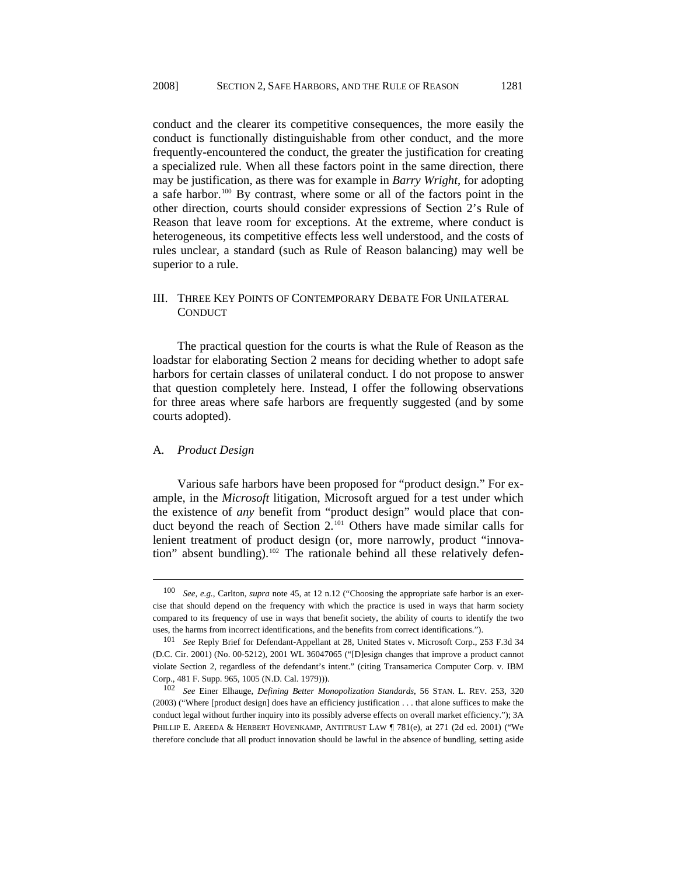conduct and the clearer its competitive consequences, the more easily the conduct is functionally distinguishable from other conduct, and the more frequently-encountered the conduct, the greater the justification for creating a specialized rule. When all these factors point in the same direction, there may be justification, as there was for example in *Barry Wright*, for adopting a safe harbor.<sup>[100](#page-16-0)</sup> By contrast, where some or all of the factors point in the other direction, courts should consider expressions of Section 2's Rule of Reason that leave room for exceptions. At the extreme, where conduct is heterogeneous, its competitive effects less well understood, and the costs of rules unclear, a standard (such as Rule of Reason balancing) may well be superior to a rule.

# III. THREE KEY POINTS OF CONTEMPORARY DEBATE FOR UNILATERAL **CONDUCT**

The practical question for the courts is what the Rule of Reason as the loadstar for elaborating Section 2 means for deciding whether to adopt safe harbors for certain classes of unilateral conduct. I do not propose to answer that question completely here. Instead, I offer the following observations for three areas where safe harbors are frequently suggested (and by some courts adopted).

# A*. Product Design*

l

Various safe harbors have been proposed for "product design." For example, in the *Microsoft* litigation, Microsoft argued for a test under which the existence of *any* benefit from "product design" would place that conduct beyond the reach of Section 2.[101](#page-16-1) Others have made similar calls for lenient treatment of product design (or, more narrowly, product "innovation" absent bundling).<sup>102</sup> The rationale behind all these relatively defen-

<span id="page-16-0"></span><sup>100</sup> *See, e.g.*, Carlton, *supra* note 45, at 12 n.12 ("Choosing the appropriate safe harbor is an exercise that should depend on the frequency with which the practice is used in ways that harm society compared to its frequency of use in ways that benefit society, the ability of courts to identify the two uses, the harms from incorrect identifications, and the benefits from correct identifications.").

<span id="page-16-1"></span><sup>101</sup> *See* Reply Brief for Defendant-Appellant at 28, United States v. Microsoft Corp., 253 F.3d 34 (D.C. Cir. 2001) (No. 00-5212), 2001 WL 36047065 ("[D]esign changes that improve a product cannot violate Section 2, regardless of the defendant's intent." (citing Transamerica Computer Corp. v. IBM Corp., 481 F. Supp. 965, 1005 (N.D. Cal. 1979))).

<span id="page-16-2"></span><sup>102</sup> *See* Einer Elhauge, *Defining Better Monopolization Standards*, 56 STAN. L. REV. 253, 320 (2003) ("Where [product design] does have an efficiency justification . . . that alone suffices to make the conduct legal without further inquiry into its possibly adverse effects on overall market efficiency."); 3A PHILLIP E. AREEDA & HERBERT HOVENKAMP, ANTITRUST LAW ¶ 781(e), at 271 (2d ed. 2001) ("We therefore conclude that all product innovation should be lawful in the absence of bundling, setting aside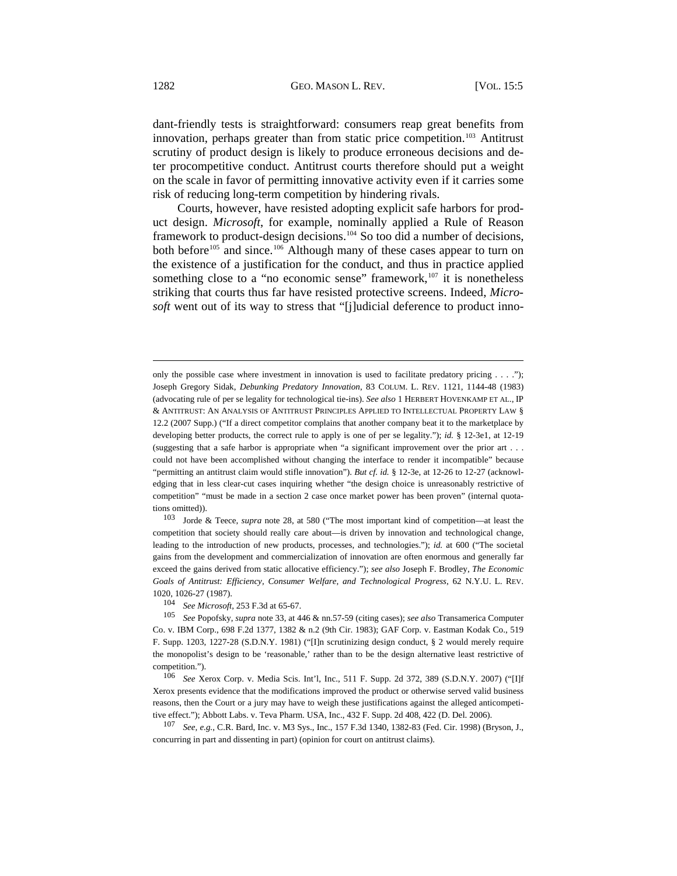dant-friendly tests is straightforward: consumers reap great benefits from innovation, perhaps greater than from static price competition.<sup>[103](#page-17-0)</sup> Antitrust scrutiny of product design is likely to produce erroneous decisions and deter procompetitive conduct. Antitrust courts therefore should put a weight on the scale in favor of permitting innovative activity even if it carries some risk of reducing long-term competition by hindering rivals.

Courts, however, have resisted adopting explicit safe harbors for product design. *Microsoft*, for example, nominally applied a Rule of Reason framework to product-design decisions.[104](#page-17-1) So too did a number of decisions, both before<sup>[105](#page-17-2)</sup> and since.<sup>[106](#page-17-3)</sup> Although many of these cases appear to turn on the existence of a justification for the conduct, and thus in practice applied something close to a "no economic sense" framework, $107$  it is nonetheless striking that courts thus far have resisted protective screens. Indeed, *Microsoft* went out of its way to stress that "[j]udicial deference to product inno-

<span id="page-17-0"></span>103 Jorde & Teece, *supra* note 28, at 580 ("The most important kind of competition—at least the competition that society should really care about—is driven by innovation and technological change, leading to the introduction of new products, processes, and technologies."); *id.* at 600 ("The societal gains from the development and commercialization of innovation are often enormous and generally far exceed the gains derived from static allocative efficiency."); *see also* Joseph F. Brodley, *The Economic Goals of Antitrust: Efficiency, Consumer Welfare, and Technological Progress*, 62 N.Y.U. L. REV. 1020, 1026-27 (1987).

<span id="page-17-4"></span><sup>107</sup> *See, e.g.*, C.R. Bard, Inc. v. M3 Sys., Inc., 157 F.3d 1340, 1382-83 (Fed. Cir. 1998) (Bryson, J., concurring in part and dissenting in part) (opinion for court on antitrust claims).

only the possible case where investment in innovation is used to facilitate predatory pricing  $\dots$ ."); Joseph Gregory Sidak, *Debunking Predatory Innovation*, 83 COLUM. L. REV. 1121, 1144-48 (1983) (advocating rule of per se legality for technological tie-ins). *See also* 1 HERBERT HOVENKAMP ET AL., IP & ANTITRUST: AN ANALYSIS OF ANTITRUST PRINCIPLES APPLIED TO INTELLECTUAL PROPERTY LAW § 12.2 (2007 Supp.) ("If a direct competitor complains that another company beat it to the marketplace by developing better products, the correct rule to apply is one of per se legality."); *id.* § 12-3e1, at 12-19 (suggesting that a safe harbor is appropriate when "a significant improvement over the prior art . . . could not have been accomplished without changing the interface to render it incompatible" because "permitting an antitrust claim would stifle innovation"). *But cf. id.* § 12-3e, at 12-26 to 12-27 (acknowledging that in less clear-cut cases inquiring whether "the design choice is unreasonably restrictive of competition" "must be made in a section 2 case once market power has been proven" (internal quotations omitted)).

<sup>104</sup> *See Microsoft*, 253 F.3d at 65-67.

<span id="page-17-2"></span><span id="page-17-1"></span><sup>105</sup> *See* Popofsky, *supra* note 33, at 446 & nn.57-59 (citing cases); *see also* Transamerica Computer Co. v. IBM Corp., 698 F.2d 1377, 1382 & n.2 (9th Cir. 1983); GAF Corp. v. Eastman Kodak Co., 519 F. Supp. 1203, 1227-28 (S.D.N.Y. 1981) ("[I]n scrutinizing design conduct, § 2 would merely require the monopolist's design to be 'reasonable,' rather than to be the design alternative least restrictive of competition.").

<span id="page-17-3"></span><sup>106</sup> *See* Xerox Corp. v. Media Scis. Int'l, Inc., 511 F. Supp. 2d 372, 389 (S.D.N.Y. 2007) ("[I]f Xerox presents evidence that the modifications improved the product or otherwise served valid business reasons, then the Court or a jury may have to weigh these justifications against the alleged anticompetitive effect."); Abbott Labs. v. Teva Pharm. USA, Inc., 432 F. Supp. 2d 408, 422 (D. Del. 2006).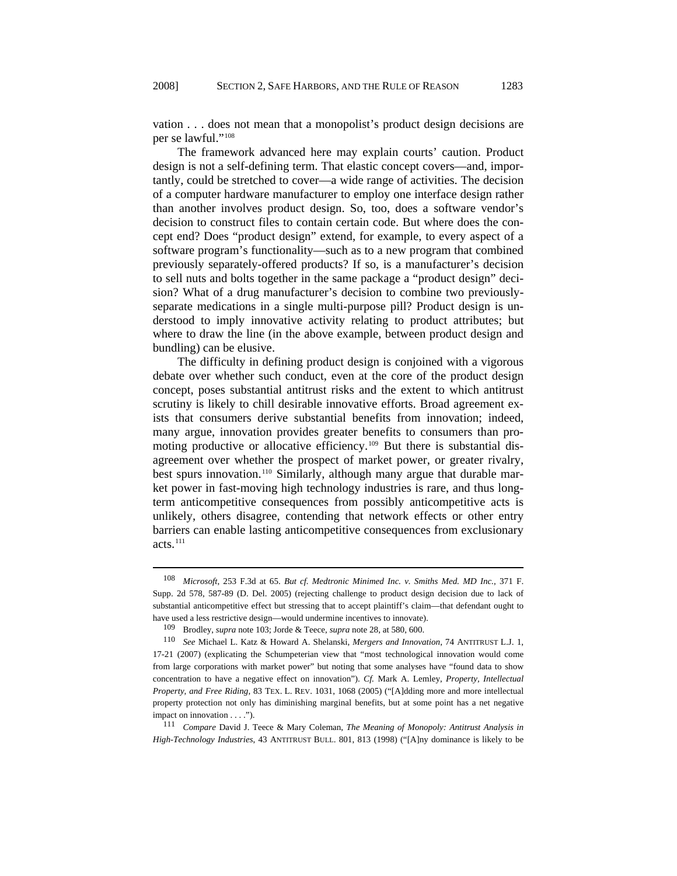vation . . . does not mean that a monopolist's product design decisions are per se lawful."<sup>[108](#page-18-0)</sup>

The framework advanced here may explain courts' caution. Product design is not a self-defining term. That elastic concept covers—and, importantly, could be stretched to cover—a wide range of activities. The decision of a computer hardware manufacturer to employ one interface design rather than another involves product design. So, too, does a software vendor's decision to construct files to contain certain code. But where does the concept end? Does "product design" extend, for example, to every aspect of a software program's functionality—such as to a new program that combined previously separately-offered products? If so, is a manufacturer's decision to sell nuts and bolts together in the same package a "product design" decision? What of a drug manufacturer's decision to combine two previouslyseparate medications in a single multi-purpose pill? Product design is understood to imply innovative activity relating to product attributes; but where to draw the line (in the above example, between product design and bundling) can be elusive.

The difficulty in defining product design is conjoined with a vigorous debate over whether such conduct, even at the core of the product design concept, poses substantial antitrust risks and the extent to which antitrust scrutiny is likely to chill desirable innovative efforts. Broad agreement exists that consumers derive substantial benefits from innovation; indeed, many argue, innovation provides greater benefits to consumers than pro-moting productive or allocative efficiency.<sup>[109](#page-18-1)</sup> But there is substantial disagreement over whether the prospect of market power, or greater rivalry, best spurs innovation.<sup>[110](#page-18-2)</sup> Similarly, although many argue that durable market power in fast-moving high technology industries is rare, and thus longterm anticompetitive consequences from possibly anticompetitive acts is unlikely, others disagree, contending that network effects or other entry barriers can enable lasting anticompetitive consequences from exclusionary  $acts.<sup>111</sup>$  $acts.<sup>111</sup>$  $acts.<sup>111</sup>$ 

<span id="page-18-0"></span><sup>108</sup> *Microsoft*, 253 F.3d at 65. *But cf. Medtronic Minimed Inc. v. Smiths Med. MD Inc.*, 371 F. Supp. 2d 578, 587-89 (D. Del. 2005) (rejecting challenge to product design decision due to lack of substantial anticompetitive effect but stressing that to accept plaintiff's claim—that defendant ought to have used a less restrictive design—would undermine incentives to innovate).

<sup>109</sup> Brodley, *supra* note 103; Jorde & Teece, *supra* note 28, at 580, 600.

<span id="page-18-2"></span><span id="page-18-1"></span><sup>110</sup> *See* Michael L. Katz & Howard A. Shelanski, *Mergers and Innovation*, 74 ANTITRUST L.J. 1, 17-21 (2007) (explicating the Schumpeterian view that "most technological innovation would come from large corporations with market power" but noting that some analyses have "found data to show concentration to have a negative effect on innovation"). *Cf.* Mark A. Lemley, *Property, Intellectual Property, and Free Riding*, 83 TEX. L. REV. 1031, 1068 (2005) ("[A]dding more and more intellectual property protection not only has diminishing marginal benefits, but at some point has a net negative impact on innovation . . . .").

<span id="page-18-3"></span><sup>111</sup> *Compare* David J. Teece & Mary Coleman, *The Meaning of Monopoly: Antitrust Analysis in High-Technology Industries*, 43 ANTITRUST BULL. 801, 813 (1998) ("[A]ny dominance is likely to be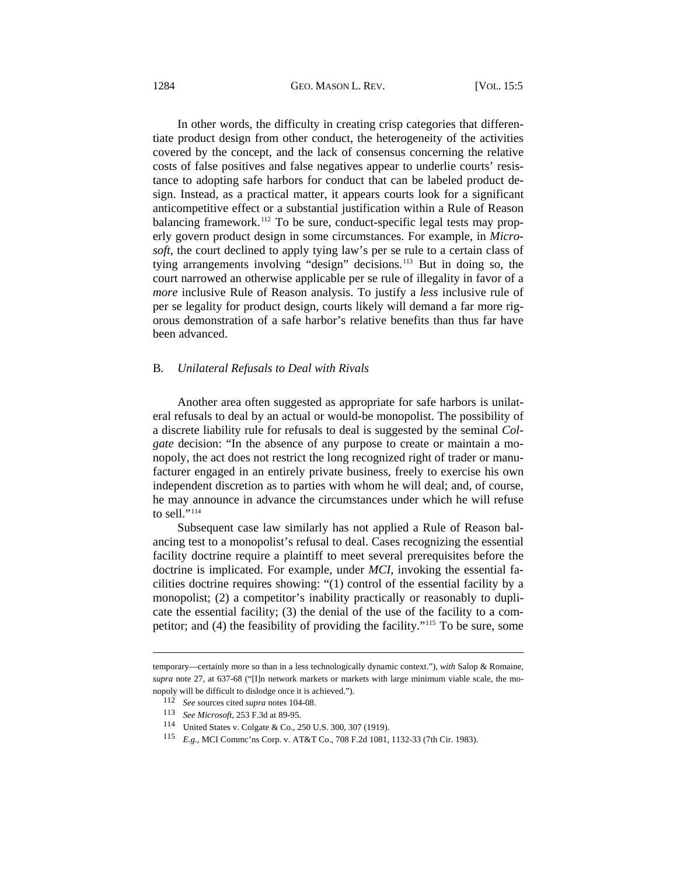### 1284 **GEO. MASON L. REV.** [VOL. 15:5

In other words, the difficulty in creating crisp categories that differentiate product design from other conduct, the heterogeneity of the activities covered by the concept, and the lack of consensus concerning the relative costs of false positives and false negatives appear to underlie courts' resistance to adopting safe harbors for conduct that can be labeled product design. Instead, as a practical matter, it appears courts look for a significant anticompetitive effect or a substantial justification within a Rule of Reason balancing framework.<sup>[112](#page-19-0)</sup> To be sure, conduct-specific legal tests may properly govern product design in some circumstances. For example, in *Microsoft*, the court declined to apply tying law's per se rule to a certain class of tying arrangements involving "design" decisions.<sup>[113](#page-19-1)</sup> But in doing so, the court narrowed an otherwise applicable per se rule of illegality in favor of a *more* inclusive Rule of Reason analysis. To justify a *less* inclusive rule of per se legality for product design, courts likely will demand a far more rigorous demonstration of a safe harbor's relative benefits than thus far have been advanced.

#### B*. Unilateral Refusals to Deal with Rivals*

Another area often suggested as appropriate for safe harbors is unilateral refusals to deal by an actual or would-be monopolist. The possibility of a discrete liability rule for refusals to deal is suggested by the seminal *Colgate* decision: "In the absence of any purpose to create or maintain a monopoly, the act does not restrict the long recognized right of trader or manufacturer engaged in an entirely private business, freely to exercise his own independent discretion as to parties with whom he will deal; and, of course, he may announce in advance the circumstances under which he will refuse to sell." $114$ 

Subsequent case law similarly has not applied a Rule of Reason balancing test to a monopolist's refusal to deal. Cases recognizing the essential facility doctrine require a plaintiff to meet several prerequisites before the doctrine is implicated. For example, under *MCI*, invoking the essential facilities doctrine requires showing: "(1) control of the essential facility by a monopolist; (2) a competitor's inability practically or reasonably to duplicate the essential facility; (3) the denial of the use of the facility to a competitor; and (4) the feasibility of providing the facility."[115](#page-19-3) To be sure, some

<span id="page-19-1"></span><span id="page-19-0"></span>temporary—certainly more so than in a less technologically dynamic context."), *with* Salop & Romaine, *supra* note 27, at 637-68 ("[I]n network markets or markets with large minimum viable scale, the monopoly will be difficult to dislodge once it is achieved.").

<sup>112</sup> *See* sources cited *supra* notes 104-08.

<sup>113</sup> *See Microsoft*, 253 F.3d at 89-95.

<span id="page-19-2"></span><sup>114</sup> United States v. Colgate & Co., 250 U.S. 300, 307 (1919).

<span id="page-19-3"></span><sup>115</sup> *E.g.*, MCI Commc'ns Corp. v. AT&T Co., 708 F.2d 1081, 1132-33 (7th Cir. 1983).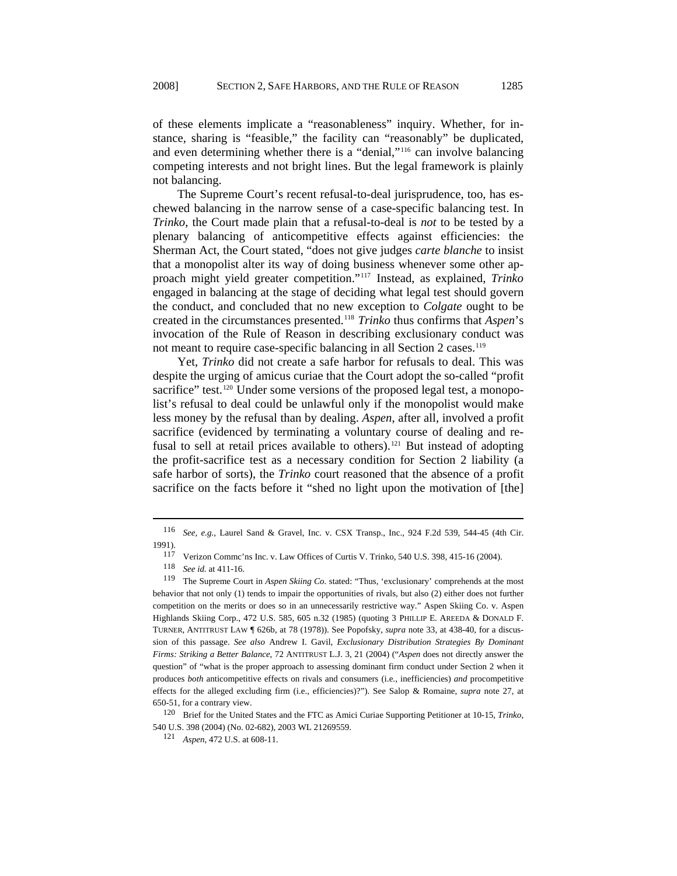of these elements implicate a "reasonableness" inquiry. Whether, for instance, sharing is "feasible," the facility can "reasonably" be duplicated, and even determining whether there is a "denial,"[116](#page-20-0) can involve balancing competing interests and not bright lines. But the legal framework is plainly not balancing.

The Supreme Court's recent refusal-to-deal jurisprudence, too, has eschewed balancing in the narrow sense of a case-specific balancing test. In *Trinko*, the Court made plain that a refusal-to-deal is *not* to be tested by a plenary balancing of anticompetitive effects against efficiencies: the Sherman Act, the Court stated, "does not give judges *carte blanche* to insist that a monopolist alter its way of doing business whenever some other approach might yield greater competition."[117](#page-20-1) Instead, as explained, *Trinko* engaged in balancing at the stage of deciding what legal test should govern the conduct, and concluded that no new exception to *Colgate* ought to be created in the circumstances presented.[118](#page-20-2) *Trinko* thus confirms that *Aspen*'s invocation of the Rule of Reason in describing exclusionary conduct was not meant to require case-specific balancing in all Section 2 cases.<sup>[119](#page-20-3)</sup>

Yet, *Trinko* did not create a safe harbor for refusals to deal. This was despite the urging of amicus curiae that the Court adopt the so-called "profit sacrifice" test.<sup>[120](#page-20-4)</sup> Under some versions of the proposed legal test, a monopolist's refusal to deal could be unlawful only if the monopolist would make less money by the refusal than by dealing. *Aspen*, after all, involved a profit sacrifice (evidenced by terminating a voluntary course of dealing and re-fusal to sell at retail prices available to others).<sup>[121](#page-20-5)</sup> But instead of adopting the profit-sacrifice test as a necessary condition for Section 2 liability (a safe harbor of sorts), the *Trinko* court reasoned that the absence of a profit sacrifice on the facts before it "shed no light upon the motivation of [the]

<span id="page-20-0"></span><sup>116</sup> *See, e.g.*, Laurel Sand & Gravel, Inc. v. CSX Transp., Inc., 924 F.2d 539, 544-45 (4th Cir. 1991).

<sup>117</sup> Verizon Commc'ns Inc. v. Law Offices of Curtis V. Trinko, 540 U.S. 398, 415-16 (2004).

<sup>118</sup> *See id.* at 411-16.

<span id="page-20-3"></span><span id="page-20-2"></span><span id="page-20-1"></span><sup>119</sup> The Supreme Court in *Aspen Skiing Co.* stated: "Thus, 'exclusionary' comprehends at the most behavior that not only (1) tends to impair the opportunities of rivals, but also (2) either does not further competition on the merits or does so in an unnecessarily restrictive way." Aspen Skiing Co. v. Aspen Highlands Skiing Corp., 472 U.S. 585, 605 n.32 (1985) (quoting 3 PHILLIP E. AREEDA & DONALD F. TURNER, ANTITRUST LAW ¶ 626b, at 78 (1978)). See Popofsky, *supra* note 33, at 438-40, for a discussion of this passage. *See also* Andrew I. Gavil, *Exclusionary Distribution Strategies By Dominant Firms: Striking a Better Balance*, 72 ANTITRUST L.J. 3, 21 (2004) ("*Aspen* does not directly answer the question" of "what is the proper approach to assessing dominant firm conduct under Section 2 when it produces *both* anticompetitive effects on rivals and consumers (i.e., inefficiencies) *and* procompetitive effects for the alleged excluding firm (i.e., efficiencies)?"). See Salop & Romaine, *supra* note 27, at 650-51, for a contrary view.

<span id="page-20-5"></span><span id="page-20-4"></span><sup>120</sup> Brief for the United States and the FTC as Amici Curiae Supporting Petitioner at 10-15, *Trinko*, 540 U.S. 398 (2004) (No. 02-682), 2003 WL 21269559.

<sup>121</sup> *Aspen*, 472 U.S. at 608-11.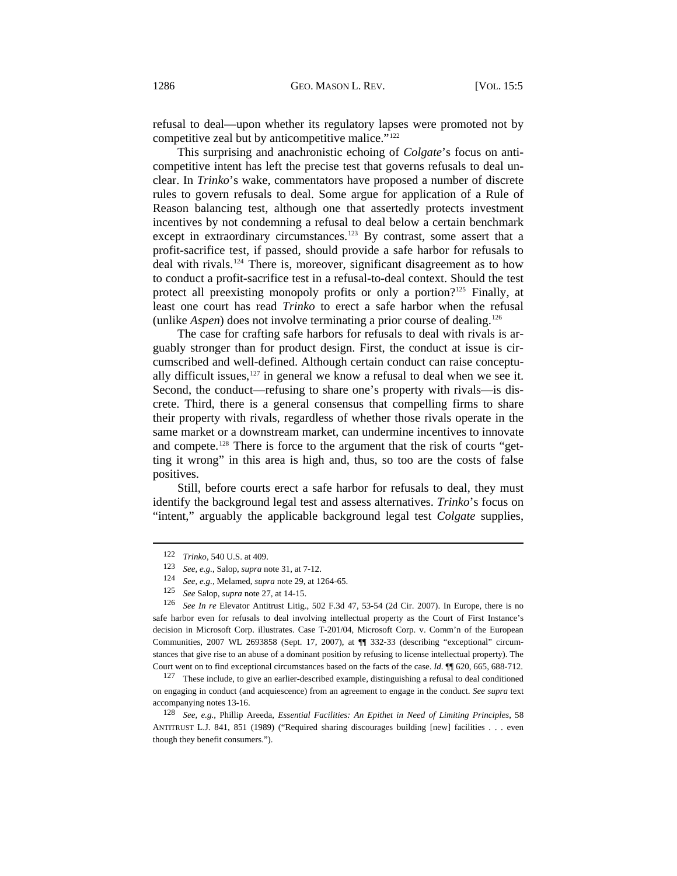refusal to deal—upon whether its regulatory lapses were promoted not by competitive zeal but by anticompetitive malice."<sup>[122](#page-21-0)</sup>

This surprising and anachronistic echoing of *Colgate*'s focus on anticompetitive intent has left the precise test that governs refusals to deal unclear. In *Trinko*'s wake, commentators have proposed a number of discrete rules to govern refusals to deal. Some argue for application of a Rule of Reason balancing test, although one that assertedly protects investment incentives by not condemning a refusal to deal below a certain benchmark except in extraordinary circumstances.<sup>[123](#page-21-1)</sup> By contrast, some assert that a profit-sacrifice test, if passed, should provide a safe harbor for refusals to deal with rivals.[124](#page-21-2) There is, moreover, significant disagreement as to how to conduct a profit-sacrifice test in a refusal-to-deal context. Should the test protect all preexisting monopoly profits or only a portion?<sup>[125](#page-21-3)</sup> Finally, at least one court has read *Trinko* to erect a safe harbor when the refusal (unlike *Aspen*) does not involve terminating a prior course of dealing.126

The case for crafting safe harbors for refusals to deal with rivals is arguably stronger than for product design. First, the conduct at issue is circumscribed and well-defined. Although certain conduct can raise conceptually difficult issues, $127$  in general we know a refusal to deal when we see it. Second, the conduct—refusing to share one's property with rivals—is discrete. Third, there is a general consensus that compelling firms to share their property with rivals, regardless of whether those rivals operate in the same market or a downstream market, can undermine incentives to innovate and compete.<sup>[128](#page-21-5)</sup> There is force to the argument that the risk of courts "getting it wrong" in this area is high and, thus, so too are the costs of false positives.

Still, before courts erect a safe harbor for refusals to deal, they must identify the background legal test and assess alternatives. *Trinko*'s focus on "intent," arguably the applicable background legal test *Colgate* supplies,

<sup>122</sup> *Trinko*, 540 U.S. at 409.

<sup>123</sup> *See, e.g.*, Salop, *supra* note 31, at 7-12.

<sup>124</sup> *See, e.g.*, Melamed, *supra* note 29, at 1264-65.

<sup>125</sup> *See* Salop, *supra* note 27, at 14-15.

<span id="page-21-3"></span><span id="page-21-2"></span><span id="page-21-1"></span><span id="page-21-0"></span><sup>126</sup> *See In re* Elevator Antitrust Litig., 502 F.3d 47, 53-54 (2d Cir. 2007). In Europe, there is no safe harbor even for refusals to deal involving intellectual property as the Court of First Instance's decision in Microsoft Corp. illustrates. Case T-201/04, Microsoft Corp. v. Comm'n of the European Communities, 2007 WL 2693858 (Sept. 17, 2007), at ¶¶ 332-33 (describing "exceptional" circumstances that give rise to an abuse of a dominant position by refusing to license intellectual property). The Court went on to find exceptional circumstances based on the facts of the case. *Id.* ¶¶ 620, 665, 688-712.

<span id="page-21-4"></span> $127$  These include, to give an earlier-described example, distinguishing a refusal to deal conditioned on engaging in conduct (and acquiescence) from an agreement to engage in the conduct. *See supra* text accompanying notes 13-16.

<span id="page-21-5"></span><sup>128</sup> *See, e.g.*, Phillip Areeda, *Essential Facilities: An Epithet in Need of Limiting Principles*, 58 ANTITRUST L.J. 841, 851 (1989) ("Required sharing discourages building [new] facilities . . . even though they benefit consumers.").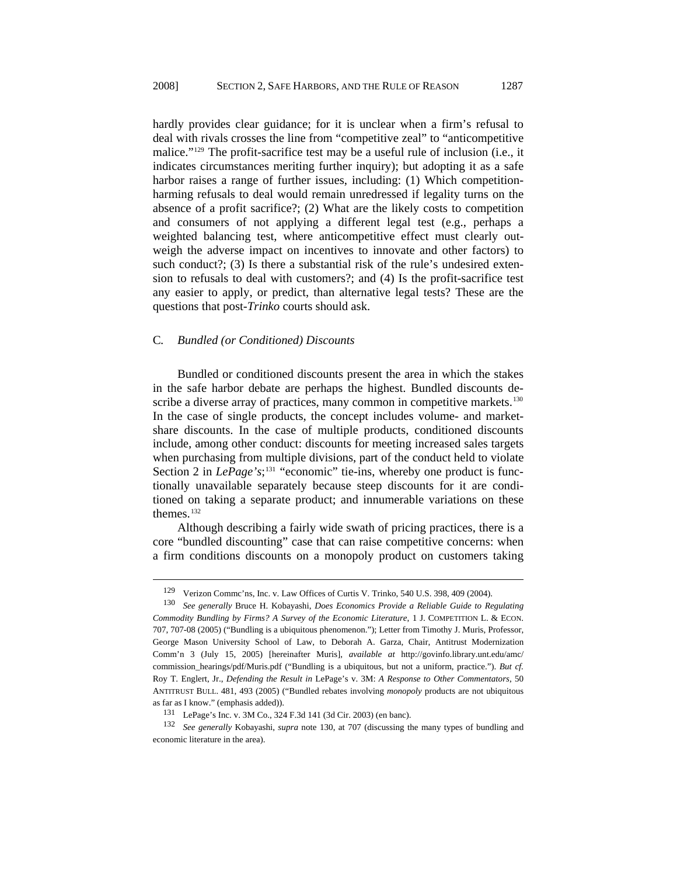hardly provides clear guidance; for it is unclear when a firm's refusal to deal with rivals crosses the line from "competitive zeal" to "anticompetitive malice."[129](#page-22-0) The profit-sacrifice test may be a useful rule of inclusion (i.e., it indicates circumstances meriting further inquiry); but adopting it as a safe harbor raises a range of further issues, including: (1) Which competitionharming refusals to deal would remain unredressed if legality turns on the absence of a profit sacrifice?; (2) What are the likely costs to competition and consumers of not applying a different legal test (e.g., perhaps a weighted balancing test, where anticompetitive effect must clearly outweigh the adverse impact on incentives to innovate and other factors) to such conduct?; (3) Is there a substantial risk of the rule's undesired extension to refusals to deal with customers?; and (4) Is the profit-sacrifice test any easier to apply, or predict, than alternative legal tests? These are the questions that post-*Trinko* courts should ask.

# C*. Bundled (or Conditioned) Discounts*

l

Bundled or conditioned discounts present the area in which the stakes in the safe harbor debate are perhaps the highest. Bundled discounts de-scribe a diverse array of practices, many common in competitive markets.<sup>[130](#page-22-1)</sup> In the case of single products, the concept includes volume- and marketshare discounts. In the case of multiple products, conditioned discounts include, among other conduct: discounts for meeting increased sales targets when purchasing from multiple divisions, part of the conduct held to violate Section 2 in *LePage's*;<sup>[131](#page-22-2)</sup> "economic" tie-ins, whereby one product is functionally unavailable separately because steep discounts for it are conditioned on taking a separate product; and innumerable variations on these themes<sup>[132](#page-22-3)</sup>

Although describing a fairly wide swath of pricing practices, there is a core "bundled discounting" case that can raise competitive concerns: when a firm conditions discounts on a monopoly product on customers taking

<sup>129</sup> Verizon Commc'ns, Inc. v. Law Offices of Curtis V. Trinko, 540 U.S. 398, 409 (2004).

<span id="page-22-1"></span><span id="page-22-0"></span><sup>130</sup> *See generally* Bruce H. Kobayashi, *Does Economics Provide a Reliable Guide to Regulating Commodity Bundling by Firms? A Survey of the Economic Literature*, 1 J. COMPETITION L. & ECON. 707, 707-08 (2005) ("Bundling is a ubiquitous phenomenon."); Letter from Timothy J. Muris, Professor, George Mason University School of Law, to Deborah A. Garza, Chair, Antitrust Modernization Comm'n 3 (July 15, 2005) [hereinafter Muris], *available at* [http://govinfo.library.unt.edu/amc/](http://govinfo.library.unt.edu/amc/commission_hearings/pdf/Muris.pdf) [commission\\_hearings/pdf/Muris.pdf](http://govinfo.library.unt.edu/amc/commission_hearings/pdf/Muris.pdf) ("Bundling is a ubiquitous, but not a uniform, practice."). *But cf.* Roy T. Englert, Jr., *Defending the Result in* LePage's v. 3M: *A Response to Other Commentators*, 50 ANTITRUST BULL. 481, 493 (2005) ("Bundled rebates involving *monopoly* products are not ubiquitous as far as I know." (emphasis added)).

<sup>131</sup> LePage's Inc. v. 3M Co., 324 F.3d 141 (3d Cir. 2003) (en banc).

<span id="page-22-3"></span><span id="page-22-2"></span><sup>132</sup> *See generally* Kobayashi, *supra* note 130, at 707 (discussing the many types of bundling and economic literature in the area).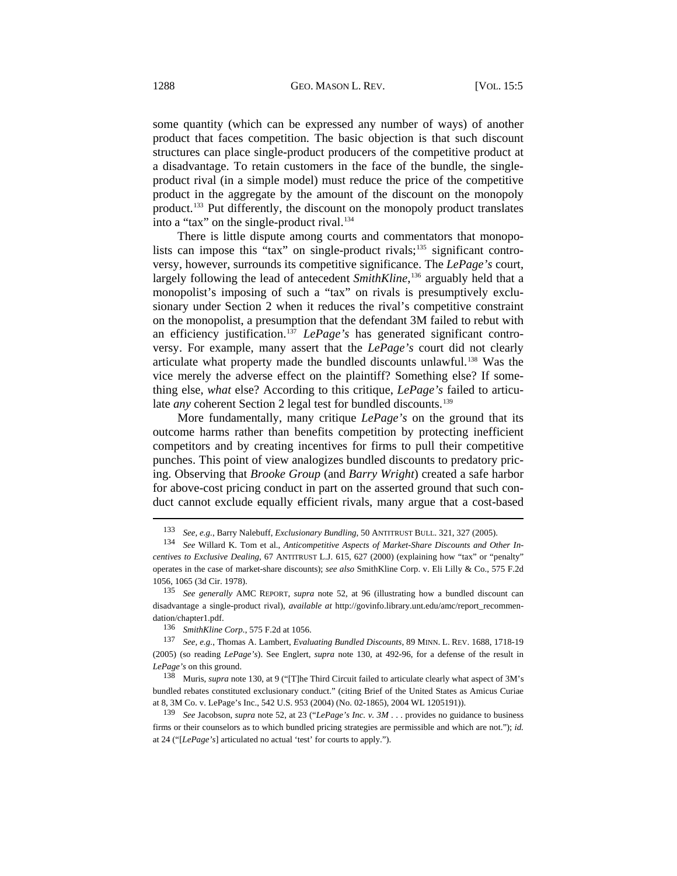some quantity (which can be expressed any number of ways) of another product that faces competition. The basic objection is that such discount structures can place single-product producers of the competitive product at a disadvantage. To retain customers in the face of the bundle, the singleproduct rival (in a simple model) must reduce the price of the competitive product in the aggregate by the amount of the discount on the monopoly product.[133](#page-23-0) Put differently, the discount on the monopoly product translates into a "tax" on the single-product rival.<sup>[134](#page-23-1)</sup>

There is little dispute among courts and commentators that monopo-lists can impose this "tax" on single-product rivals;<sup>[135](#page-23-2)</sup> significant controversy, however, surrounds its competitive significance. The *LePage's* court, largely following the lead of antecedent *SmithKline*, [136](#page-23-3) arguably held that a monopolist's imposing of such a "tax" on rivals is presumptively exclusionary under Section 2 when it reduces the rival's competitive constraint on the monopolist, a presumption that the defendant 3M failed to rebut with an efficiency justification.<sup>[137](#page-23-4)</sup> *LePage's* has generated significant controversy. For example, many assert that the *LePage's* court did not clearly articulate what property made the bundled discounts unlawful.[138](#page-23-5) Was the vice merely the adverse effect on the plaintiff? Something else? If something else, *what* else? According to this critique, *LePage's* failed to articulate *any* coherent Section 2 legal test for bundled discounts.<sup>[139](#page-23-6)</sup>

More fundamentally, many critique *LePage's* on the ground that its outcome harms rather than benefits competition by protecting inefficient competitors and by creating incentives for firms to pull their competitive punches. This point of view analogizes bundled discounts to predatory pricing. Observing that *Brooke Group* (and *Barry Wright*) created a safe harbor for above-cost pricing conduct in part on the asserted ground that such conduct cannot exclude equally efficient rivals, many argue that a cost-based l

<sup>133</sup> *See, e.g.*, Barry Nalebuff, *Exclusionary Bundling*, 50 ANTITRUST BULL. 321, 327 (2005).

<span id="page-23-1"></span><span id="page-23-0"></span><sup>134</sup> *See* Willard K. Tom et al., *Anticompetitive Aspects of Market-Share Discounts and Other Incentives to Exclusive Dealing*, 67 ANTITRUST L.J. 615, 627 (2000) (explaining how "tax" or "penalty" operates in the case of market-share discounts); *see also* SmithKline Corp. v. Eli Lilly & Co., 575 F.2d 1056, 1065 (3d Cir. 1978).

<span id="page-23-2"></span><sup>135</sup> *See generally* AMC REPORT, *supra* note 52, at 96 (illustrating how a bundled discount can disadvantage a single-product rival), *available at* [http://govinfo.library.unt.edu/amc/report\\_recommen](http://govinfo.library.unt.edu/amc/report_recommendation/chapter1.pdf)[dation/chapter1.pdf.](http://govinfo.library.unt.edu/amc/report_recommendation/chapter1.pdf)

<sup>136</sup> *SmithKline Corp.*, 575 F.2d at 1056.

<span id="page-23-4"></span><span id="page-23-3"></span><sup>137</sup> *See, e.g.*, Thomas A. Lambert, *Evaluating Bundled Discounts*, 89 MINN. L. REV. 1688, 1718-19 (2005) (so reading *LePage's*). See Englert, *supra* note 130, at 492-96, for a defense of the result in *LePage's* on this ground.

<span id="page-23-5"></span><sup>138</sup> Muris, *supra* note 130, at 9 ("[T]he Third Circuit failed to articulate clearly what aspect of 3M's bundled rebates constituted exclusionary conduct." (citing Brief of the United States as Amicus Curiae at 8, 3M Co. v. LePage's Inc., 542 U.S. 953 (2004) (No. 02-1865), 2004 WL 1205191)).

<span id="page-23-6"></span><sup>139</sup> *See* Jacobson, *supra* note 52, at 23 ("*LePage's Inc. v. 3M* . . . provides no guidance to business firms or their counselors as to which bundled pricing strategies are permissible and which are not."); *id.* at 24 ("[*LePage's*] articulated no actual 'test' for courts to apply.").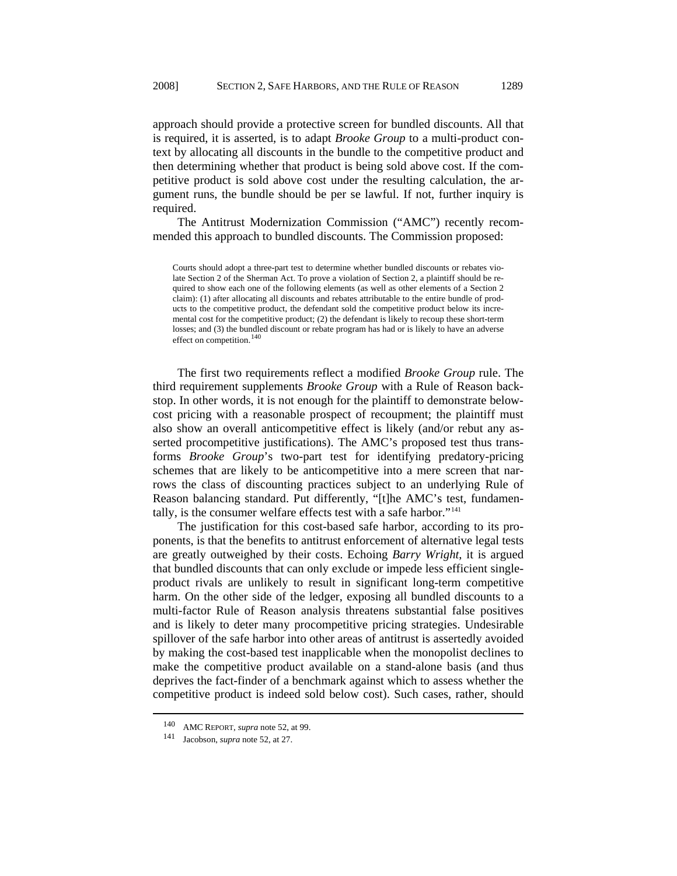approach should provide a protective screen for bundled discounts. All that is required, it is asserted, is to adapt *Brooke Group* to a multi-product context by allocating all discounts in the bundle to the competitive product and then determining whether that product is being sold above cost. If the competitive product is sold above cost under the resulting calculation, the argument runs, the bundle should be per se lawful. If not, further inquiry is required.

The Antitrust Modernization Commission ("AMC") recently recommended this approach to bundled discounts. The Commission proposed:

The first two requirements reflect a modified *Brooke Group* rule. The third requirement supplements *Brooke Group* with a Rule of Reason backstop. In other words, it is not enough for the plaintiff to demonstrate belowcost pricing with a reasonable prospect of recoupment; the plaintiff must also show an overall anticompetitive effect is likely (and/or rebut any asserted procompetitive justifications). The AMC's proposed test thus transforms *Brooke Group*'s two-part test for identifying predatory-pricing schemes that are likely to be anticompetitive into a mere screen that narrows the class of discounting practices subject to an underlying Rule of Reason balancing standard. Put differently, "[t]he AMC's test, fundamentally, is the consumer welfare effects test with a safe harbor."[141](#page-24-1)

The justification for this cost-based safe harbor, according to its proponents, is that the benefits to antitrust enforcement of alternative legal tests are greatly outweighed by their costs. Echoing *Barry Wright*, it is argued that bundled discounts that can only exclude or impede less efficient singleproduct rivals are unlikely to result in significant long-term competitive harm. On the other side of the ledger, exposing all bundled discounts to a multi-factor Rule of Reason analysis threatens substantial false positives and is likely to deter many procompetitive pricing strategies. Undesirable spillover of the safe harbor into other areas of antitrust is assertedly avoided by making the cost-based test inapplicable when the monopolist declines to make the competitive product available on a stand-alone basis (and thus deprives the fact-finder of a benchmark against which to assess whether the competitive product is indeed sold below cost). Such cases, rather, should

Courts should adopt a three-part test to determine whether bundled discounts or rebates violate Section 2 of the Sherman Act. To prove a violation of Section 2, a plaintiff should be required to show each one of the following elements (as well as other elements of a Section 2 claim): (1) after allocating all discounts and rebates attributable to the entire bundle of products to the competitive product, the defendant sold the competitive product below its incremental cost for the competitive product; (2) the defendant is likely to recoup these short-term losses; and (3) the bundled discount or rebate program has had or is likely to have an adverse effect on competition.<sup>[140](#page-24-0)</sup>

<sup>140</sup> AMC REPORT, *supra* note 52, at 99.

<span id="page-24-1"></span><span id="page-24-0"></span><sup>141</sup> Jacobson, *supra* note 52, at 27.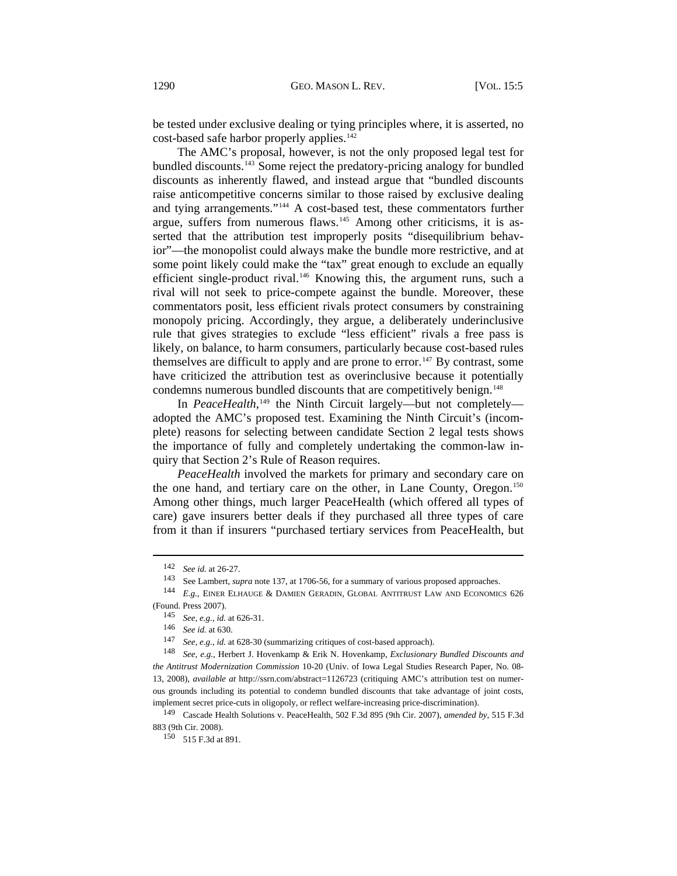be tested under exclusive dealing or tying principles where, it is asserted, no cost-based safe harbor properly applies.<sup>[142](#page-25-0)</sup>

The AMC's proposal, however, is not the only proposed legal test for bundled discounts.[143](#page-25-1) Some reject the predatory-pricing analogy for bundled discounts as inherently flawed, and instead argue that "bundled discounts raise anticompetitive concerns similar to those raised by exclusive dealing and tying arrangements."[144](#page-25-2) A cost-based test, these commentators further argue, suffers from numerous flaws.[145](#page-25-3) Among other criticisms, it is asserted that the attribution test improperly posits "disequilibrium behavior"—the monopolist could always make the bundle more restrictive, and at some point likely could make the "tax" great enough to exclude an equally efficient single-product rival.<sup>[146](#page-25-4)</sup> Knowing this, the argument runs, such a rival will not seek to price-compete against the bundle. Moreover, these commentators posit, less efficient rivals protect consumers by constraining monopoly pricing. Accordingly, they argue, a deliberately underinclusive rule that gives strategies to exclude "less efficient" rivals a free pass is likely, on balance, to harm consumers, particularly because cost-based rules themselves are difficult to apply and are prone to error.<sup>[147](#page-25-5)</sup> By contrast, some have criticized the attribution test as overinclusive because it potentially condemns numerous bundled discounts that are competitively benign.<sup>148</sup>

In PeaceHealth,<sup>[149](#page-25-6)</sup> the Ninth Circuit largely—but not completely adopted the AMC's proposed test. Examining the Ninth Circuit's (incomplete) reasons for selecting between candidate Section 2 legal tests shows the importance of fully and completely undertaking the common-law inquiry that Section 2's Rule of Reason requires.

*PeaceHealth* involved the markets for primary and secondary care on the one hand, and tertiary care on the other, in Lane County, Oregon.<sup>[150](#page-25-7)</sup> Among other things, much larger PeaceHealth (which offered all types of care) gave insurers better deals if they purchased all three types of care from it than if insurers "purchased tertiary services from PeaceHealth, but

<sup>142</sup> *See id.* at 26-27.

<sup>143</sup> See Lambert, *supra* note 137, at 1706-56, for a summary of various proposed approaches.

<span id="page-25-3"></span><span id="page-25-2"></span><span id="page-25-1"></span><span id="page-25-0"></span><sup>144</sup> *E.g.*, EINER ELHAUGE & DAMIEN GERADIN, GLOBAL ANTITRUST LAW AND ECONOMICS 626 (Found. Press 2007).

<sup>145</sup> *See, e.g.*, *id.* at 626-31.

<sup>146</sup> *See id.* at 630.

<sup>147</sup> *See, e.g.*, *id.* at 628-30 (summarizing critiques of cost-based approach).

<span id="page-25-5"></span><span id="page-25-4"></span><sup>148</sup> *See, e.g.*, Herbert J. Hovenkamp & Erik N. Hovenkamp, *Exclusionary Bundled Discounts and the Antitrust Modernization Commission* 10-20 (Univ. of Iowa Legal Studies Research Paper, No. 08- 13, 2008), *available at* http://ssrn.com/abstract=1126723 (critiquing AMC's attribution test on numerous grounds including its potential to condemn bundled discounts that take advantage of joint costs, implement secret price-cuts in oligopoly, or reflect welfare-increasing price-discrimination).

<span id="page-25-7"></span><span id="page-25-6"></span><sup>149</sup> Cascade Health Solutions v. PeaceHealth, 502 F.3d 895 (9th Cir. 2007), *amended by*, 515 F.3d 883 (9th Cir. 2008).

<sup>150 515</sup> F.3d at 891.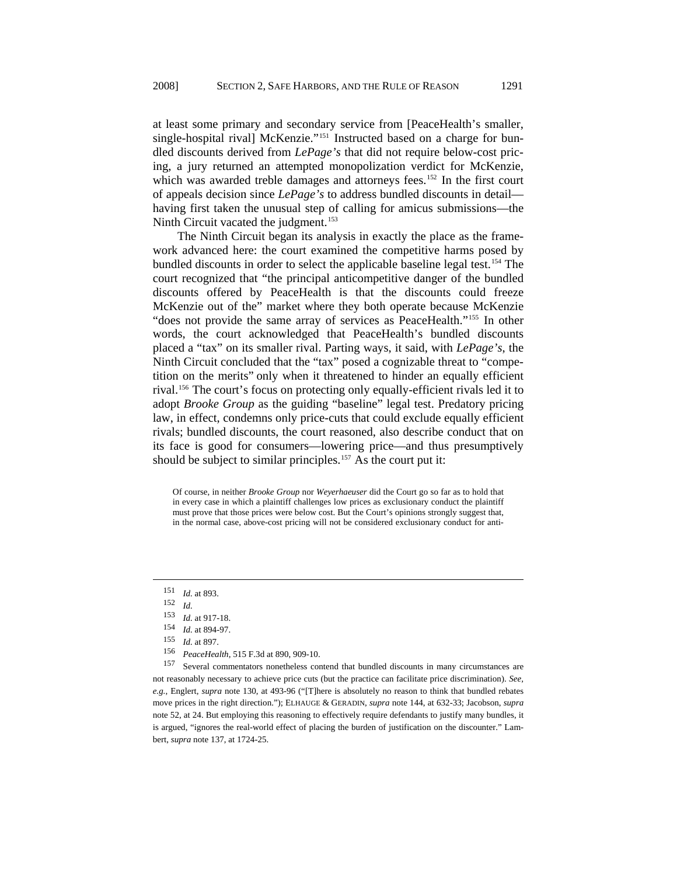at least some primary and secondary service from [PeaceHealth's smaller, single-hospital rival] McKenzie."<sup>[151](#page-26-0)</sup> Instructed based on a charge for bundled discounts derived from *LePage's* that did not require below-cost pricing, a jury returned an attempted monopolization verdict for McKenzie, which was awarded treble damages and attorneys fees.<sup>[152](#page-26-1)</sup> In the first court of appeals decision since *LePage's* to address bundled discounts in detail having first taken the unusual step of calling for amicus submissions—the Ninth Circuit vacated the judgment.<sup>[153](#page-26-2)</sup>

The Ninth Circuit began its analysis in exactly the place as the framework advanced here: the court examined the competitive harms posed by bundled discounts in order to select the applicable baseline legal test.<sup>[154](#page-26-3)</sup> The court recognized that "the principal anticompetitive danger of the bundled discounts offered by PeaceHealth is that the discounts could freeze McKenzie out of the" market where they both operate because McKenzie "does not provide the same array of services as PeaceHealth."<sup>[155](#page-26-4)</sup> In other words, the court acknowledged that PeaceHealth's bundled discounts placed a "tax" on its smaller rival. Parting ways, it said, with *LePage's*, the Ninth Circuit concluded that the "tax" posed a cognizable threat to "competition on the merits" only when it threatened to hinder an equally efficient rival.[156](#page-26-5) The court's focus on protecting only equally-efficient rivals led it to adopt *Brooke Group* as the guiding "baseline" legal test. Predatory pricing law, in effect, condemns only price-cuts that could exclude equally efficient rivals; bundled discounts, the court reasoned, also describe conduct that on its face is good for consumers—lowering price—and thus presumptively should be subject to similar principles.<sup>[157](#page-26-6)</sup> As the court put it:

Of course, in neither *Brooke Group* nor *Weyerhaeuser* did the Court go so far as to hold that in every case in which a plaintiff challenges low prices as exclusionary conduct the plaintiff must prove that those prices were below cost. But the Court's opinions strongly suggest that, in the normal case, above-cost pricing will not be considered exclusionary conduct for anti-

<sup>151</sup> *Id.* at 893.

<span id="page-26-1"></span><span id="page-26-0"></span><sup>152</sup> *Id.* 

<sup>153</sup> *Id.* at 917-18.

<sup>154</sup> *Id.* at 894-97.

<sup>155</sup> *Id.* at 897.

<sup>156</sup> *PeaceHealth*, 515 F.3d at 890, 909-10.

<span id="page-26-6"></span><span id="page-26-5"></span><span id="page-26-4"></span><span id="page-26-3"></span><span id="page-26-2"></span><sup>157</sup> Several commentators nonetheless contend that bundled discounts in many circumstances are not reasonably necessary to achieve price cuts (but the practice can facilitate price discrimination). *See, e.g.*, Englert, *supra* note 130, at 493-96 ("[T]here is absolutely no reason to think that bundled rebates move prices in the right direction."); ELHAUGE & GERADIN, *supra* note 144, at 632-33; Jacobson, *supra* note 52, at 24. But employing this reasoning to effectively require defendants to justify many bundles, it is argued, "ignores the real-world effect of placing the burden of justification on the discounter." Lambert, *supra* note 137, at 1724-25.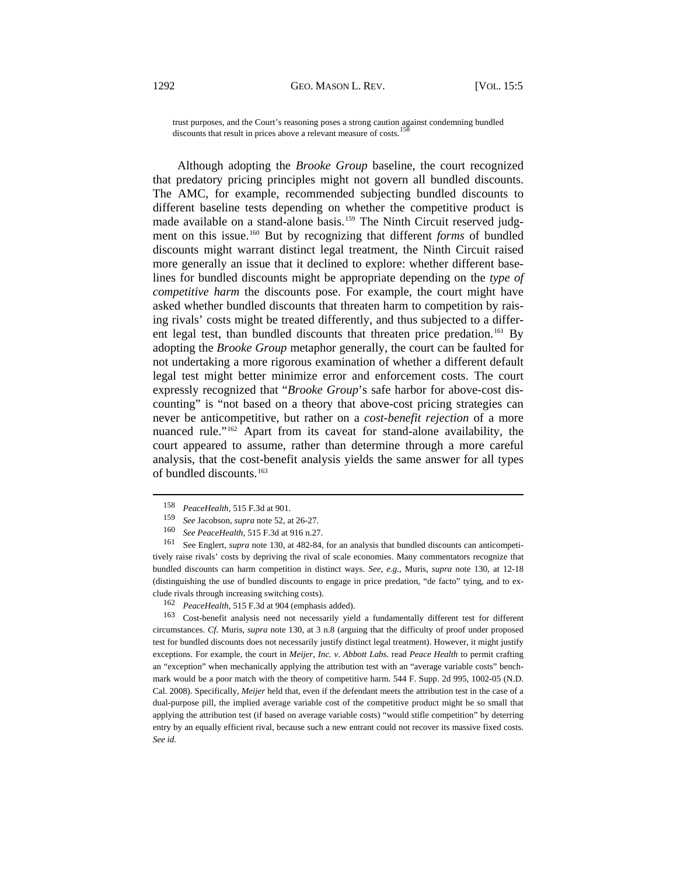trust purposes, and the Court's reasoning poses a strong caution against condemning bundled discounts that result in prices above a relevant measure of costs.<sup>15</sup>

Although adopting the *Brooke Group* baseline, the court recognized that predatory pricing principles might not govern all bundled discounts. The AMC, for example, recommended subjecting bundled discounts to different baseline tests depending on whether the competitive product is made available on a stand-alone basis.<sup>[159](#page-27-1)</sup> The Ninth Circuit reserved judgment on this issue.[160](#page-27-2) But by recognizing that different *forms* of bundled discounts might warrant distinct legal treatment, the Ninth Circuit raised more generally an issue that it declined to explore: whether different baselines for bundled discounts might be appropriate depending on the *type of competitive harm* the discounts pose. For example, the court might have asked whether bundled discounts that threaten harm to competition by raising rivals' costs might be treated differently, and thus subjected to a differ-ent legal test, than bundled discounts that threaten price predation.<sup>[161](#page-27-3)</sup> By adopting the *Brooke Group* metaphor generally, the court can be faulted for not undertaking a more rigorous examination of whether a different default legal test might better minimize error and enforcement costs. The court expressly recognized that "*Brooke Group*'s safe harbor for above-cost discounting" is "not based on a theory that above-cost pricing strategies can never be anticompetitive, but rather on a *cost-benefit rejection* of a more nuanced rule."[162](#page-27-4) Apart from its caveat for stand-alone availability, the court appeared to assume, rather than determine through a more careful analysis, that the cost-benefit analysis yields the same answer for all types of bundled discounts.<sup>163</sup>

l

<span id="page-27-3"></span><span id="page-27-2"></span><span id="page-27-1"></span><span id="page-27-0"></span>161 See Englert, *supra* note 130, at 482-84, for an analysis that bundled discounts can anticompetitively raise rivals' costs by depriving the rival of scale economies. Many commentators recognize that bundled discounts can harm competition in distinct ways. *See, e.g.*, Muris, *supra* note 130, at 12-18 (distinguishing the use of bundled discounts to engage in price predation, "de facto" tying, and to exclude rivals through increasing switching costs).

<sup>158</sup> *PeaceHealth*, 515 F.3d at 901.

<sup>159</sup> *See* Jacobson, *supra* note 52, at 26-27.

<sup>160</sup> *See PeaceHealth*, 515 F.3d at 916 n.27.

<sup>162</sup> *PeaceHealth*, 515 F.3d at 904 (emphasis added).

<span id="page-27-4"></span><sup>163</sup> Cost-benefit analysis need not necessarily yield a fundamentally different test for different circumstances. *Cf.* Muris, *supra* note 130, at 3 n.8 (arguing that the difficulty of proof under proposed test for bundled discounts does not necessarily justify distinct legal treatment). However, it might justify exceptions. For example, the court in *Meijer, Inc. v. Abbott Labs.* read *Peace Health* to permit crafting an "exception" when mechanically applying the attribution test with an "average variable costs" benchmark would be a poor match with the theory of competitive harm. 544 F. Supp. 2d 995, 1002-05 (N.D. Cal. 2008). Specifically, *Meijer* held that, even if the defendant meets the attribution test in the case of a dual-purpose pill, the implied average variable cost of the competitive product might be so small that applying the attribution test (if based on average variable costs) "would stifle competition" by deterring entry by an equally efficient rival, because such a new entrant could not recover its massive fixed costs. *See id.*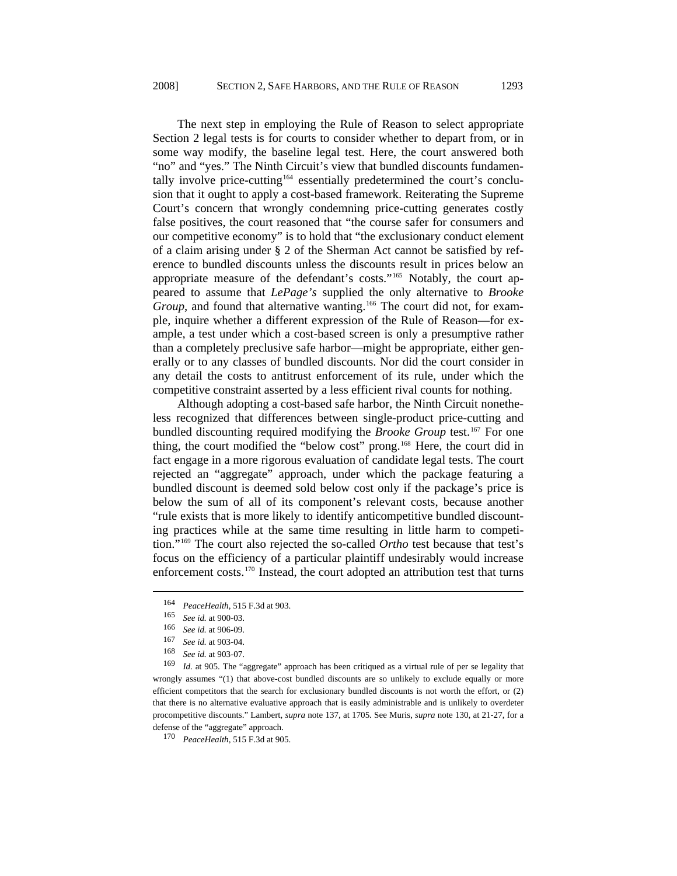The next step in employing the Rule of Reason to select appropriate Section 2 legal tests is for courts to consider whether to depart from, or in some way modify, the baseline legal test. Here, the court answered both "no" and "yes." The Ninth Circuit's view that bundled discounts fundamen-tally involve price-cutting<sup>[164](#page-28-0)</sup> essentially predetermined the court's conclusion that it ought to apply a cost-based framework. Reiterating the Supreme Court's concern that wrongly condemning price-cutting generates costly false positives, the court reasoned that "the course safer for consumers and our competitive economy" is to hold that "the exclusionary conduct element of a claim arising under § 2 of the Sherman Act cannot be satisfied by reference to bundled discounts unless the discounts result in prices below an appropriate measure of the defendant's costs."[165](#page-28-1) Notably, the court appeared to assume that *LePage's* supplied the only alternative to *Brooke Group*, and found that alternative wanting.<sup>[166](#page-28-2)</sup> The court did not, for example, inquire whether a different expression of the Rule of Reason—for example, a test under which a cost-based screen is only a presumptive rather than a completely preclusive safe harbor—might be appropriate, either generally or to any classes of bundled discounts. Nor did the court consider in any detail the costs to antitrust enforcement of its rule, under which the competitive constraint asserted by a less efficient rival counts for nothing.

Although adopting a cost-based safe harbor, the Ninth Circuit nonetheless recognized that differences between single-product price-cutting and bundled discounting required modifying the *Brooke Group* test.<sup>[167](#page-28-3)</sup> For one thing, the court modified the "below cost" prong.<sup>[168](#page-28-4)</sup> Here, the court did in fact engage in a more rigorous evaluation of candidate legal tests. The court rejected an "aggregate" approach, under which the package featuring a bundled discount is deemed sold below cost only if the package's price is below the sum of all of its component's relevant costs, because another "rule exists that is more likely to identify anticompetitive bundled discounting practices while at the same time resulting in little harm to competition."[169](#page-28-5) The court also rejected the so-called *Ortho* test because that test's focus on the efficiency of a particular plaintiff undesirably would increase enforcement costs.[170](#page-28-6) Instead, the court adopted an attribution test that turns

<span id="page-28-0"></span><sup>164</sup> *PeaceHealth*, 515 F.3d at 903.

<sup>165</sup> *See id.* at 900-03.

<sup>166</sup> *See id.* at 906-09.

<sup>167</sup> *See id.* at 903-04.

<sup>168</sup> *See id.* at 903-07.

<span id="page-28-5"></span><span id="page-28-4"></span><span id="page-28-3"></span><span id="page-28-2"></span><span id="page-28-1"></span><sup>169</sup> *Id.* at 905. The "aggregate" approach has been critiqued as a virtual rule of per se legality that wrongly assumes "(1) that above-cost bundled discounts are so unlikely to exclude equally or more efficient competitors that the search for exclusionary bundled discounts is not worth the effort, or (2) that there is no alternative evaluative approach that is easily administrable and is unlikely to overdeter procompetitive discounts." Lambert, *supra* note 137, at 1705*.* See Muris, *supra* note 130, at 21-27, for a defense of the "aggregate" approach.

<span id="page-28-6"></span><sup>170</sup> *PeaceHealth*, 515 F.3d at 905.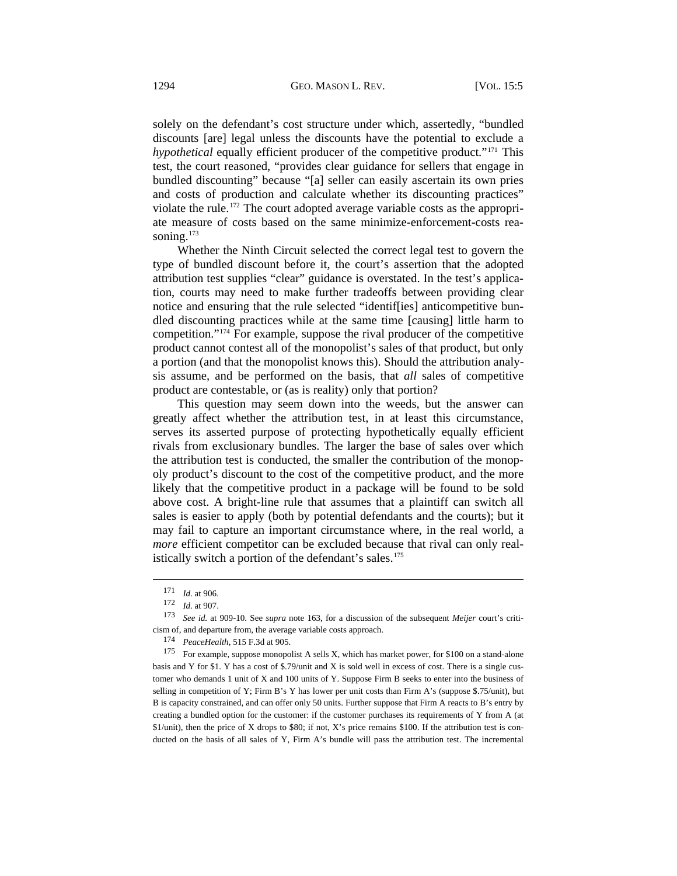solely on the defendant's cost structure under which, assertedly, "bundled discounts [are] legal unless the discounts have the potential to exclude a *hypothetical* equally efficient producer of the competitive product."<sup>[171](#page-29-0)</sup> This test, the court reasoned, "provides clear guidance for sellers that engage in bundled discounting" because "[a] seller can easily ascertain its own pries and costs of production and calculate whether its discounting practices" violate the rule.[172](#page-29-1) The court adopted average variable costs as the appropriate measure of costs based on the same minimize-enforcement-costs reasoning. $173$ 

Whether the Ninth Circuit selected the correct legal test to govern the type of bundled discount before it, the court's assertion that the adopted attribution test supplies "clear" guidance is overstated. In the test's application, courts may need to make further tradeoffs between providing clear notice and ensuring that the rule selected "identif[ies] anticompetitive bundled discounting practices while at the same time [causing] little harm to competition."[174](#page-29-3) For example, suppose the rival producer of the competitive product cannot contest all of the monopolist's sales of that product, but only a portion (and that the monopolist knows this). Should the attribution analysis assume, and be performed on the basis, that *all* sales of competitive product are contestable, or (as is reality) only that portion?

This question may seem down into the weeds, but the answer can greatly affect whether the attribution test, in at least this circumstance, serves its asserted purpose of protecting hypothetically equally efficient rivals from exclusionary bundles. The larger the base of sales over which the attribution test is conducted, the smaller the contribution of the monopoly product's discount to the cost of the competitive product, and the more likely that the competitive product in a package will be found to be sold above cost. A bright-line rule that assumes that a plaintiff can switch all sales is easier to apply (both by potential defendants and the courts); but it may fail to capture an important circumstance where, in the real world, a *more* efficient competitor can be excluded because that rival can only real-istically switch a portion of the defendant's sales.<sup>[175](#page-29-4)</sup>

l

<span id="page-29-4"></span><span id="page-29-3"></span>175 For example, suppose monopolist A sells X, which has market power, for \$100 on a stand-alone basis and Y for \$1. Y has a cost of \$.79/unit and X is sold well in excess of cost. There is a single customer who demands 1 unit of X and 100 units of Y. Suppose Firm B seeks to enter into the business of selling in competition of Y; Firm B's Y has lower per unit costs than Firm A's (suppose \$.75/unit), but B is capacity constrained, and can offer only 50 units. Further suppose that Firm A reacts to B's entry by creating a bundled option for the customer: if the customer purchases its requirements of Y from A (at \$1/unit), then the price of X drops to \$80; if not, X's price remains \$100. If the attribution test is conducted on the basis of all sales of Y, Firm A's bundle will pass the attribution test. The incremental

<sup>171</sup> *Id.* at 906.

<sup>172</sup> *Id.* at 907.

<span id="page-29-2"></span><span id="page-29-1"></span><span id="page-29-0"></span><sup>173</sup> *See id.* at 909-10. See *supra* note 163, for a discussion of the subsequent *Meijer* court's criticism of, and departure from, the average variable costs approach.

<sup>174</sup> *PeaceHealth*, 515 F.3d at 905.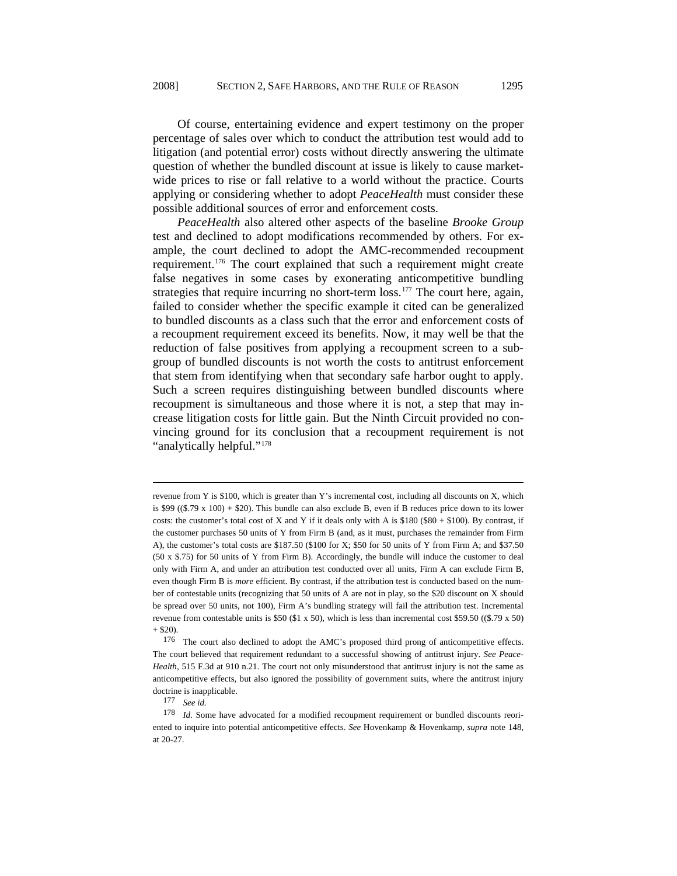Of course, entertaining evidence and expert testimony on the proper percentage of sales over which to conduct the attribution test would add to litigation (and potential error) costs without directly answering the ultimate question of whether the bundled discount at issue is likely to cause marketwide prices to rise or fall relative to a world without the practice. Courts applying or considering whether to adopt *PeaceHealth* must consider these possible additional sources of error and enforcement costs.

*PeaceHealth* also altered other aspects of the baseline *Brooke Group* test and declined to adopt modifications recommended by others. For example, the court declined to adopt the AMC-recommended recoupment requirement.[176](#page-30-0) The court explained that such a requirement might create false negatives in some cases by exonerating anticompetitive bundling strategies that require incurring no short-term loss.<sup>[177](#page-30-1)</sup> The court here, again, failed to consider whether the specific example it cited can be generalized to bundled discounts as a class such that the error and enforcement costs of a recoupment requirement exceed its benefits. Now, it may well be that the reduction of false positives from applying a recoupment screen to a subgroup of bundled discounts is not worth the costs to antitrust enforcement that stem from identifying when that secondary safe harbor ought to apply. Such a screen requires distinguishing between bundled discounts where recoupment is simultaneous and those where it is not, a step that may increase litigation costs for little gain. But the Ninth Circuit provided no convincing ground for its conclusion that a recoupment requirement is not "analytically helpful."<sup>[178](#page-30-2)</sup>

revenue from Y is \$100, which is greater than Y's incremental cost, including all discounts on X, which is \$99 ((\$.79 x 100) + \$20). This bundle can also exclude B, even if B reduces price down to its lower costs: the customer's total cost of X and Y if it deals only with A is  $$180 ($80 + $100)$ . By contrast, if the customer purchases 50 units of Y from Firm B (and, as it must, purchases the remainder from Firm A), the customer's total costs are \$187.50 (\$100 for X; \$50 for 50 units of Y from Firm A; and \$37.50 (50 x \$.75) for 50 units of Y from Firm B). Accordingly, the bundle will induce the customer to deal only with Firm A, and under an attribution test conducted over all units, Firm A can exclude Firm B, even though Firm B is *more* efficient. By contrast, if the attribution test is conducted based on the number of contestable units (recognizing that 50 units of A are not in play, so the \$20 discount on X should be spread over 50 units, not 100), Firm A's bundling strategy will fail the attribution test. Incremental revenue from contestable units is \$50 (\$1 x 50), which is less than incremental cost \$59.50 ((\$.79 x 50)  $+$ \$20).

<span id="page-30-0"></span><sup>176</sup> The court also declined to adopt the AMC's proposed third prong of anticompetitive effects. The court believed that requirement redundant to a successful showing of antitrust injury. *See Peace-Health*, 515 F.3d at 910 n.21. The court not only misunderstood that antitrust injury is not the same as anticompetitive effects, but also ignored the possibility of government suits, where the antitrust injury doctrine is inapplicable.<br> $177$  See id.

<span id="page-30-2"></span><span id="page-30-1"></span><sup>&</sup>lt;sup>178</sup> Id. Some have advocated for a modified recoupment requirement or bundled discounts reoriented to inquire into potential anticompetitive effects. *See* Hovenkamp & Hovenkamp, *supra* note 148, at 20-27.